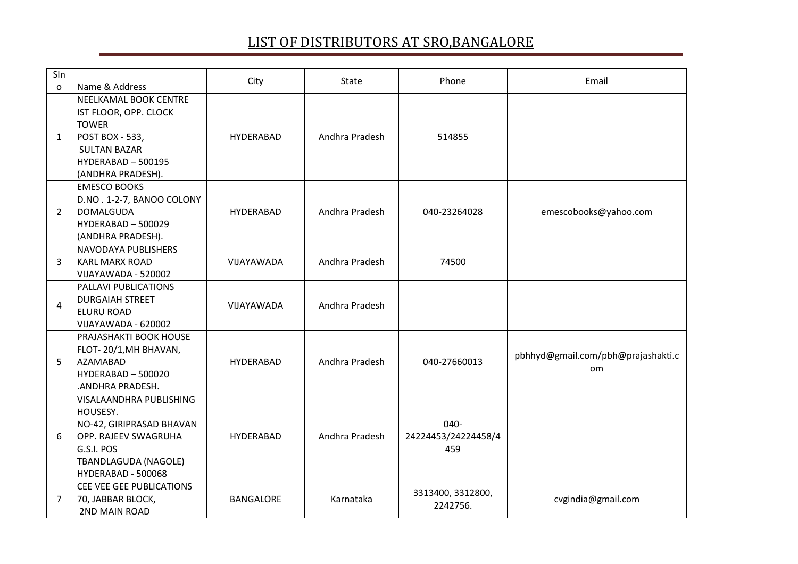| Sln<br>$\Omega$ | Name & Address                                                                                                                                             | City             | State          | Phone                              | Email                                     |
|-----------------|------------------------------------------------------------------------------------------------------------------------------------------------------------|------------------|----------------|------------------------------------|-------------------------------------------|
| 1               | NEELKAMAL BOOK CENTRE<br>IST FLOOR, OPP. CLOCK<br><b>TOWER</b><br>POST BOX - 533,<br><b>SULTAN BAZAR</b><br>HYDERABAD - 500195<br>(ANDHRA PRADESH).        | <b>HYDERABAD</b> | Andhra Pradesh | 514855                             |                                           |
| $\overline{2}$  | <b>EMESCO BOOKS</b><br>D.NO. 1-2-7, BANOO COLONY<br><b>DOMALGUDA</b><br>HYDERABAD - 500029<br>(ANDHRA PRADESH).                                            | <b>HYDERABAD</b> | Andhra Pradesh | 040-23264028                       | emescobooks@yahoo.com                     |
| 3               | NAVODAYA PUBLISHERS<br><b>KARL MARX ROAD</b><br>VIJAYAWADA - 520002                                                                                        | VIJAYAWADA       | Andhra Pradesh | 74500                              |                                           |
| 4               | PALLAVI PUBLICATIONS<br><b>DURGAIAH STREET</b><br><b>ELURU ROAD</b><br>VIJAYAWADA - 620002                                                                 | VIJAYAWADA       | Andhra Pradesh |                                    |                                           |
| 5               | PRAJASHAKTI BOOK HOUSE<br>FLOT-20/1, MH BHAVAN,<br><b>AZAMABAD</b><br>HYDERABAD - 500020<br>.ANDHRA PRADESH.                                               | <b>HYDERABAD</b> | Andhra Pradesh | 040-27660013                       | pbhhyd@gmail.com/pbh@prajashakti.c<br>om. |
| 6               | VISALAANDHRA PUBLISHING<br>HOUSESY.<br>NO-42, GIRIPRASAD BHAVAN<br>OPP. RAJEEV SWAGRUHA<br>G.S.I. POS<br><b>TBANDLAGUDA (NAGOLE)</b><br>HYDERABAD - 500068 | <b>HYDERABAD</b> | Andhra Pradesh | 040-<br>24224453/24224458/4<br>459 |                                           |
| 7               | CEE VEE GEE PUBLICATIONS<br>70, JABBAR BLOCK,<br>2ND MAIN ROAD                                                                                             | <b>BANGALORE</b> | Karnataka      | 3313400, 3312800,<br>2242756.      | cvgindia@gmail.com                        |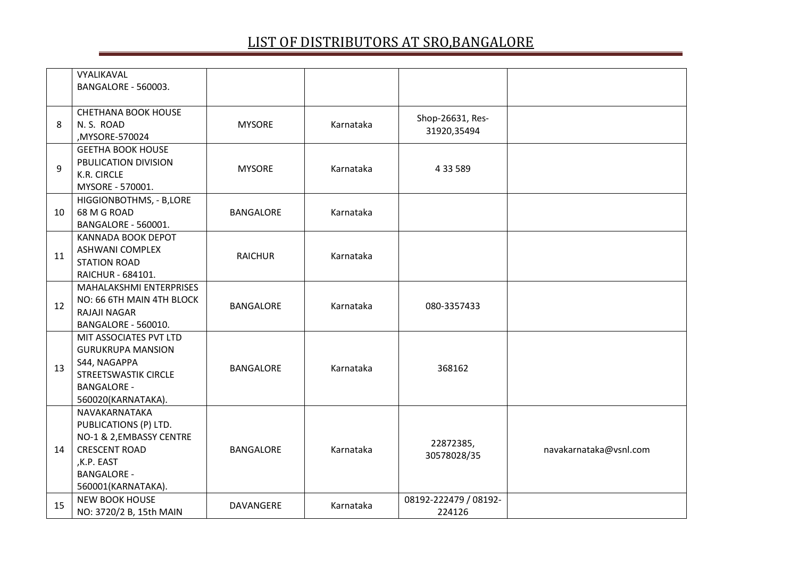|    | VYALIKAVAL<br>BANGALORE - 560003.                                                                                                                    |                  |           |                                 |                        |
|----|------------------------------------------------------------------------------------------------------------------------------------------------------|------------------|-----------|---------------------------------|------------------------|
| 8  | <b>CHETHANA BOOK HOUSE</b><br>N.S. ROAD<br>,MYSORE-570024                                                                                            | <b>MYSORE</b>    | Karnataka | Shop-26631, Res-<br>31920,35494 |                        |
| 9  | <b>GEETHA BOOK HOUSE</b><br>PBULICATION DIVISION<br>K.R. CIRCLE<br>MYSORE - 570001.                                                                  | <b>MYSORE</b>    | Karnataka | 4 33 5 89                       |                        |
| 10 | HIGGIONBOTHMS, - B,LORE<br>68 M G ROAD<br>BANGALORE - 560001.                                                                                        | <b>BANGALORE</b> | Karnataka |                                 |                        |
| 11 | <b>KANNADA BOOK DEPOT</b><br><b>ASHWANI COMPLEX</b><br><b>STATION ROAD</b><br>RAICHUR - 684101.                                                      | <b>RAICHUR</b>   | Karnataka |                                 |                        |
| 12 | MAHALAKSHMI ENTERPRISES<br>NO: 66 6TH MAIN 4TH BLOCK<br>RAJAJI NAGAR<br><b>BANGALORE - 560010.</b>                                                   | <b>BANGALORE</b> | Karnataka | 080-3357433                     |                        |
| 13 | MIT ASSOCIATES PVT LTD<br><b>GURUKRUPA MANSION</b><br>S44, NAGAPPA<br><b>STREETSWASTIK CIRCLE</b><br><b>BANGALORE -</b><br>560020(KARNATAKA).        | <b>BANGALORE</b> | Karnataka | 368162                          |                        |
| 14 | NAVAKARNATAKA<br>PUBLICATIONS (P) LTD.<br>NO-1 & 2, EMBASSY CENTRE<br><b>CRESCENT ROAD</b><br>,K.P. EAST<br><b>BANGALORE -</b><br>560001(KARNATAKA). | <b>BANGALORE</b> | Karnataka | 22872385,<br>30578028/35        | navakarnataka@vsnl.com |
| 15 | <b>NEW BOOK HOUSE</b><br>NO: 3720/2 B, 15th MAIN                                                                                                     | DAVANGERE        | Karnataka | 08192-222479 / 08192-<br>224126 |                        |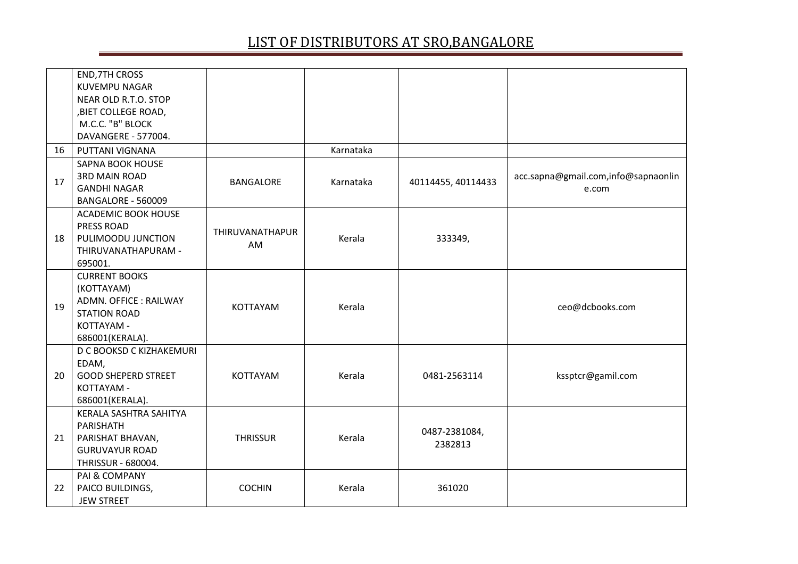|    | <b>END, 7TH CROSS</b><br><b>KUVEMPU NAGAR</b><br>NEAR OLD R.T.O. STOP<br>,BIET COLLEGE ROAD,<br>M.C.C. "B" BLOCK    |                       |           |                          |                                              |
|----|---------------------------------------------------------------------------------------------------------------------|-----------------------|-----------|--------------------------|----------------------------------------------|
|    | DAVANGERE - 577004.                                                                                                 |                       | Karnataka |                          |                                              |
| 16 | PUTTANI VIGNANA<br><b>SAPNA BOOK HOUSE</b>                                                                          |                       |           |                          |                                              |
| 17 | <b>3RD MAIN ROAD</b><br><b>GANDHI NAGAR</b><br>BANGALORE - 560009                                                   | <b>BANGALORE</b>      | Karnataka | 40114455, 40114433       | acc.sapna@gmail.com,info@sapnaonlin<br>e.com |
| 18 | <b>ACADEMIC BOOK HOUSE</b><br>PRESS ROAD<br>PULIMOODU JUNCTION<br>THIRUVANATHAPURAM -<br>695001.                    | THIRUVANATHAPUR<br>AM | Kerala    | 333349,                  |                                              |
| 19 | <b>CURRENT BOOKS</b><br>(KOTTAYAM)<br>ADMN. OFFICE: RAILWAY<br><b>STATION ROAD</b><br>KOTTAYAM -<br>686001(KERALA). | KOTTAYAM              | Kerala    |                          | ceo@dcbooks.com                              |
| 20 | D C BOOKSD C KIZHAKEMURI<br>EDAM,<br><b>GOOD SHEPERD STREET</b><br>KOTTAYAM -<br>686001(KERALA).                    | <b>KOTTAYAM</b>       | Kerala    | 0481-2563114             | kssptcr@gamil.com                            |
| 21 | KERALA SASHTRA SAHITYA<br>PARISHATH<br>PARISHAT BHAVAN,<br><b>GURUVAYUR ROAD</b><br>THRISSUR - 680004.              | <b>THRISSUR</b>       | Kerala    | 0487-2381084,<br>2382813 |                                              |
| 22 | PAI & COMPANY<br>PAICO BUILDINGS,<br><b>JEW STREET</b>                                                              | <b>COCHIN</b>         | Kerala    | 361020                   |                                              |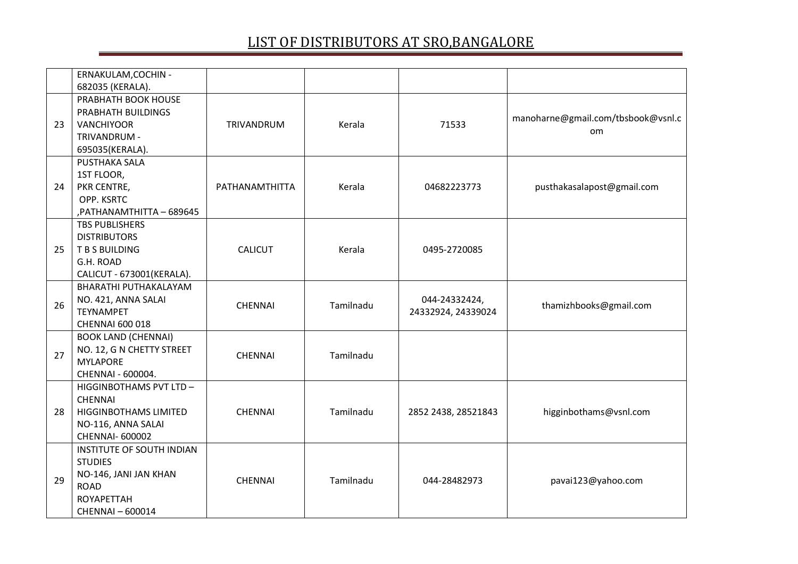|    | ERNAKULAM, COCHIN -<br>682035 (KERALA).                                                                                             |                |           |                                     |                                          |
|----|-------------------------------------------------------------------------------------------------------------------------------------|----------------|-----------|-------------------------------------|------------------------------------------|
| 23 | PRABHATH BOOK HOUSE<br>PRABHATH BUILDINGS<br><b>VANCHIYOOR</b><br>TRIVANDRUM -<br>695035(KERALA).                                   | TRIVANDRUM     | Kerala    | 71533                               | manoharne@gmail.com/tbsbook@vsnl.c<br>om |
| 24 | PUSTHAKA SALA<br>1ST FLOOR,<br>PKR CENTRE,<br>OPP. KSRTC<br>PATHANAMTHITTA - 689645                                                 | PATHANAMTHITTA | Kerala    | 04682223773                         | pusthakasalapost@gmail.com               |
| 25 | <b>TBS PUBLISHERS</b><br><b>DISTRIBUTORS</b><br>T B S BUILDING<br>G.H. ROAD<br>CALICUT - 673001(KERALA).                            | <b>CALICUT</b> | Kerala    | 0495-2720085                        |                                          |
| 26 | BHARATHI PUTHAKALAYAM<br>NO. 421, ANNA SALAI<br><b>TEYNAMPET</b><br>CHENNAI 600 018                                                 | <b>CHENNAI</b> | Tamilnadu | 044-24332424,<br>24332924, 24339024 | thamizhbooks@gmail.com                   |
| 27 | <b>BOOK LAND (CHENNAI)</b><br>NO. 12, G N CHETTY STREET<br><b>MYLAPORE</b><br>CHENNAI - 600004.                                     | <b>CHENNAI</b> | Tamilnadu |                                     |                                          |
| 28 | HIGGINBOTHAMS PVT LTD-<br><b>CHENNAI</b><br><b>HIGGINBOTHAMS LIMITED</b><br>NO-116, ANNA SALAI<br><b>CHENNAI- 600002</b>            | <b>CHENNAI</b> | Tamilnadu | 2852 2438, 28521843                 | higginbothams@vsnl.com                   |
| 29 | <b>INSTITUTE OF SOUTH INDIAN</b><br><b>STUDIES</b><br>NO-146, JANI JAN KHAN<br><b>ROAD</b><br><b>ROYAPETTAH</b><br>CHENNAI - 600014 | <b>CHENNAI</b> | Tamilnadu | 044-28482973                        | pavai123@yahoo.com                       |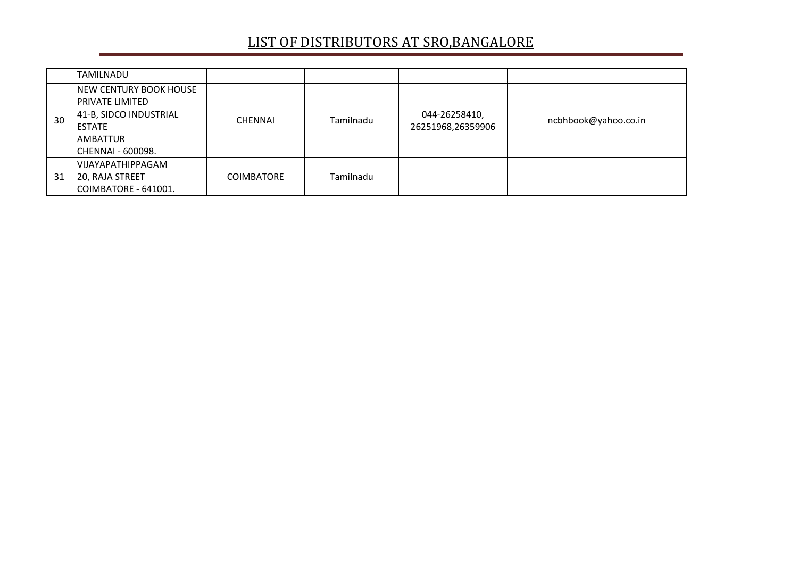|    | TAMILNADU                                                                                                      |                   |           |                                    |                      |
|----|----------------------------------------------------------------------------------------------------------------|-------------------|-----------|------------------------------------|----------------------|
| 30 | NEW CENTURY BOOK HOUSE<br>PRIVATE LIMITED<br>41-B, SIDCO INDUSTRIAL<br>ESTATE<br>AMBATTUR<br>CHENNAI - 600098. | <b>CHENNAI</b>    | Tamilnadu | 044-26258410,<br>26251968,26359906 | ncbhbook@yahoo.co.in |
| 31 | VIJAYAPATHIPPAGAM<br>20, RAJA STREET<br>COIMBATORE - 641001.                                                   | <b>COIMBATORE</b> | Tamilnadu |                                    |                      |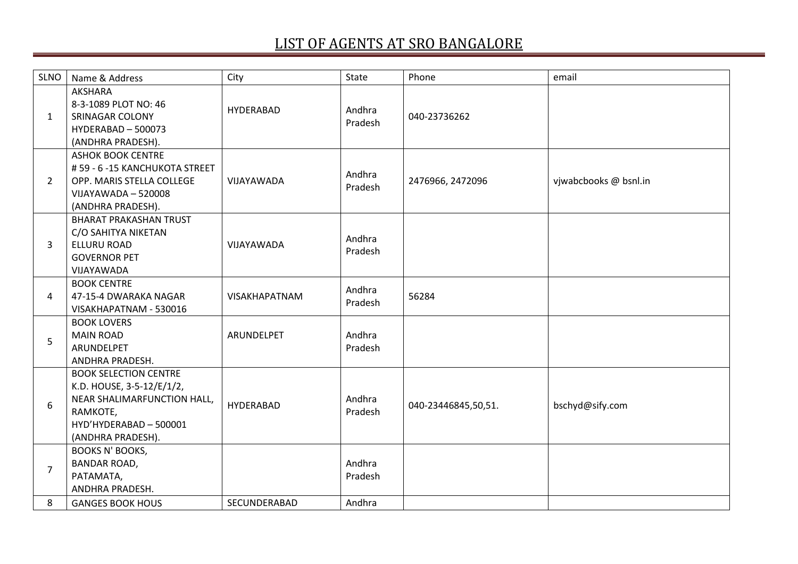| <b>SLNO</b>    | Name & Address                                                                                                                                      | City                 | State             | Phone               | email                 |
|----------------|-----------------------------------------------------------------------------------------------------------------------------------------------------|----------------------|-------------------|---------------------|-----------------------|
| 1              | <b>AKSHARA</b><br>8-3-1089 PLOT NO: 46<br><b>SRINAGAR COLONY</b><br>HYDERABAD - 500073<br>(ANDHRA PRADESH).                                         | HYDERABAD            | Andhra<br>Pradesh | 040-23736262        |                       |
| $\overline{2}$ | <b>ASHOK BOOK CENTRE</b><br>#59 - 6 -15 KANCHUKOTA STREET<br>OPP. MARIS STELLA COLLEGE<br>VIJAYAWADA - 520008<br>(ANDHRA PRADESH).                  | VIJAYAWADA           | Andhra<br>Pradesh | 2476966, 2472096    | vjwabcbooks @ bsnl.in |
| 3              | <b>BHARAT PRAKASHAN TRUST</b><br>C/O SAHITYA NIKETAN<br><b>ELLURU ROAD</b><br><b>GOVERNOR PET</b><br>VIJAYAWADA                                     | VIJAYAWADA           | Andhra<br>Pradesh |                     |                       |
| 4              | <b>BOOK CENTRE</b><br>47-15-4 DWARAKA NAGAR<br>VISAKHAPATNAM - 530016                                                                               | <b>VISAKHAPATNAM</b> | Andhra<br>Pradesh | 56284               |                       |
| 5              | <b>BOOK LOVERS</b><br><b>MAIN ROAD</b><br>ARUNDELPET<br>ANDHRA PRADESH.                                                                             | ARUNDELPET           | Andhra<br>Pradesh |                     |                       |
| 6              | <b>BOOK SELECTION CENTRE</b><br>K.D. HOUSE, 3-5-12/E/1/2,<br>NEAR SHALIMARFUNCTION HALL,<br>RAMKOTE,<br>HYD'HYDERABAD - 500001<br>(ANDHRA PRADESH). | <b>HYDERABAD</b>     | Andhra<br>Pradesh | 040-23446845,50,51. | bschyd@sify.com       |
| $\overline{7}$ | <b>BOOKS N' BOOKS,</b><br><b>BANDAR ROAD,</b><br>PATAMATA,<br>ANDHRA PRADESH.                                                                       |                      | Andhra<br>Pradesh |                     |                       |
| 8              | <b>GANGES BOOK HOUS</b>                                                                                                                             | SECUNDERABAD         | Andhra            |                     |                       |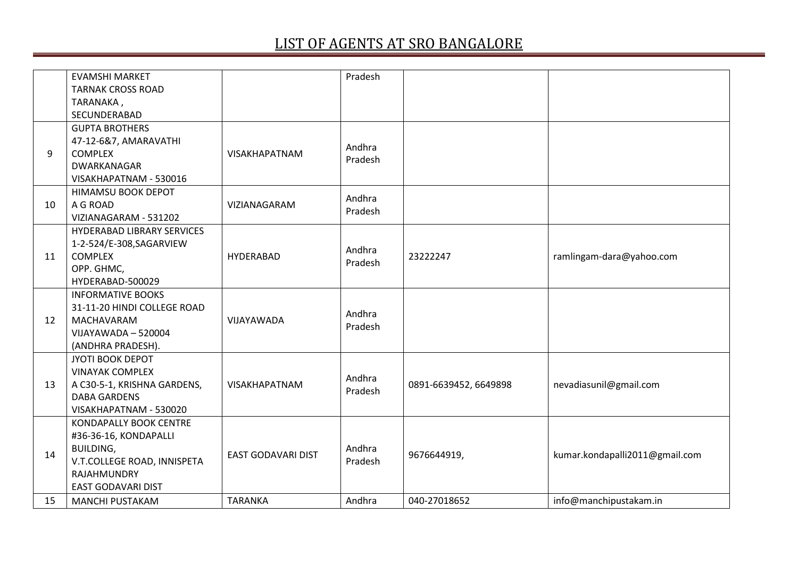|    | <b>EVAMSHI MARKET</b>       |                    | Pradesh |                       |                                |
|----|-----------------------------|--------------------|---------|-----------------------|--------------------------------|
|    | <b>TARNAK CROSS ROAD</b>    |                    |         |                       |                                |
|    |                             |                    |         |                       |                                |
|    | TARANAKA,<br>SECUNDERABAD   |                    |         |                       |                                |
|    |                             |                    |         |                       |                                |
|    | <b>GUPTA BROTHERS</b>       |                    |         |                       |                                |
|    | 47-12-6&7, AMARAVATHI       |                    | Andhra  |                       |                                |
| 9  | <b>COMPLEX</b>              | VISAKHAPATNAM      | Pradesh |                       |                                |
|    | DWARKANAGAR                 |                    |         |                       |                                |
|    | VISAKHAPATNAM - 530016      |                    |         |                       |                                |
|    | <b>HIMAMSU BOOK DEPOT</b>   |                    | Andhra  |                       |                                |
| 10 | A G ROAD                    | VIZIANAGARAM       | Pradesh |                       |                                |
|    | VIZIANAGARAM - 531202       |                    |         |                       |                                |
|    | HYDERABAD LIBRARY SERVICES  |                    |         |                       |                                |
|    | 1-2-524/E-308, SAGARVIEW    |                    | Andhra  |                       |                                |
| 11 | <b>COMPLEX</b>              | <b>HYDERABAD</b>   | Pradesh | 23222247              | ramlingam-dara@yahoo.com       |
|    | OPP. GHMC,                  |                    |         |                       |                                |
|    | HYDERABAD-500029            |                    |         |                       |                                |
|    | <b>INFORMATIVE BOOKS</b>    |                    |         |                       |                                |
|    | 31-11-20 HINDI COLLEGE ROAD |                    |         |                       |                                |
| 12 | MACHAVARAM                  | VIJAYAWADA         | Andhra  |                       |                                |
|    | VIJAYAWADA - 520004         |                    | Pradesh |                       |                                |
|    | (ANDHRA PRADESH).           |                    |         |                       |                                |
|    | JYOTI BOOK DEPOT            |                    |         |                       |                                |
|    | <b>VINAYAK COMPLEX</b>      |                    |         |                       |                                |
| 13 | A C30-5-1, KRISHNA GARDENS, | VISAKHAPATNAM      | Andhra  | 0891-6639452, 6649898 | nevadiasunil@gmail.com         |
|    | <b>DABA GARDENS</b>         |                    | Pradesh |                       |                                |
|    | VISAKHAPATNAM - 530020      |                    |         |                       |                                |
|    | KONDAPALLY BOOK CENTRE      |                    |         |                       |                                |
|    | #36-36-16, KONDAPALLI       |                    |         |                       |                                |
|    | <b>BUILDING,</b>            |                    | Andhra  |                       |                                |
| 14 | V.T.COLLEGE ROAD, INNISPETA | EAST GODAVARI DIST | Pradesh | 9676644919,           | kumar.kondapalli2011@gmail.com |
|    | RAJAHMUNDRY                 |                    |         |                       |                                |
|    | EAST GODAVARI DIST          |                    |         |                       |                                |
|    |                             |                    |         |                       |                                |
| 15 | <b>MANCHI PUSTAKAM</b>      | <b>TARANKA</b>     | Andhra  | 040-27018652          | info@manchipustakam.in         |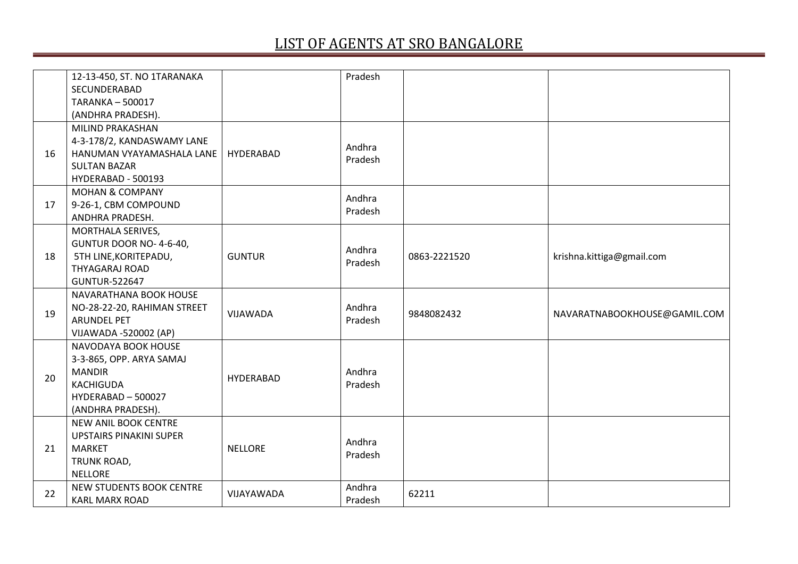|    | 12-13-450, ST. NO 1TARANAKA    |                  | Pradesh           |              |                              |
|----|--------------------------------|------------------|-------------------|--------------|------------------------------|
|    | SECUNDERABAD                   |                  |                   |              |                              |
|    | <b>TARANKA-500017</b>          |                  |                   |              |                              |
|    | (ANDHRA PRADESH).              |                  |                   |              |                              |
|    | MILIND PRAKASHAN               |                  |                   |              |                              |
|    | 4-3-178/2, KANDASWAMY LANE     |                  | Andhra            |              |                              |
| 16 | HANUMAN VYAYAMASHALA LANE      | HYDERABAD        | Pradesh           |              |                              |
|    | <b>SULTAN BAZAR</b>            |                  |                   |              |                              |
|    | HYDERABAD - 500193             |                  |                   |              |                              |
|    | <b>MOHAN &amp; COMPANY</b>     |                  | Andhra            |              |                              |
| 17 | 9-26-1, CBM COMPOUND           |                  | Pradesh           |              |                              |
|    | ANDHRA PRADESH.                |                  |                   |              |                              |
|    | MORTHALA SERIVES,              |                  |                   |              |                              |
|    | GUNTUR DOOR NO-4-6-40,         |                  | Andhra            |              |                              |
| 18 | 5TH LINE, KORITEPADU,          | <b>GUNTUR</b>    | Pradesh           | 0863-2221520 | krishna.kittiga@gmail.com    |
|    | <b>THYAGARAJ ROAD</b>          |                  |                   |              |                              |
|    | <b>GUNTUR-522647</b>           |                  |                   |              |                              |
|    | NAVARATHANA BOOK HOUSE         |                  |                   |              |                              |
| 19 | NO-28-22-20, RAHIMAN STREET    | VIJAWADA         | Andhra<br>Pradesh | 9848082432   | NAVARATNABOOKHOUSE@GAMIL.COM |
|    | <b>ARUNDEL PET</b>             |                  |                   |              |                              |
|    | VIJAWADA -520002 (AP)          |                  |                   |              |                              |
|    | NAVODAYA BOOK HOUSE            |                  |                   |              |                              |
|    | 3-3-865, OPP. ARYA SAMAJ       |                  |                   |              |                              |
| 20 | <b>MANDIR</b>                  | <b>HYDERABAD</b> | Andhra            |              |                              |
|    | <b>KACHIGUDA</b>               |                  | Pradesh           |              |                              |
|    | HYDERABAD - 500027             |                  |                   |              |                              |
|    | (ANDHRA PRADESH).              |                  |                   |              |                              |
|    | NEW ANIL BOOK CENTRE           |                  |                   |              |                              |
|    | <b>UPSTAIRS PINAKINI SUPER</b> |                  | Andhra            |              |                              |
| 21 | <b>MARKET</b>                  | <b>NELLORE</b>   | Pradesh           |              |                              |
|    | TRUNK ROAD,                    |                  |                   |              |                              |
|    | <b>NELLORE</b>                 |                  |                   |              |                              |
| 22 | NEW STUDENTS BOOK CENTRE       | VIJAYAWADA       | Andhra            | 62211        |                              |
|    | <b>KARL MARX ROAD</b>          |                  | Pradesh           |              |                              |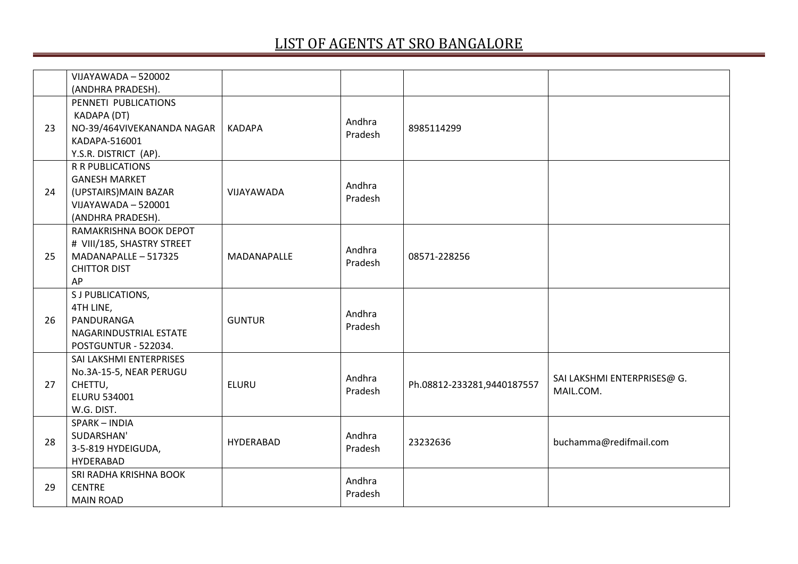|    | VIJAYAWADA - 520002        |               |         |                            |                             |
|----|----------------------------|---------------|---------|----------------------------|-----------------------------|
|    | (ANDHRA PRADESH).          |               |         |                            |                             |
|    | PENNETI PUBLICATIONS       |               |         |                            |                             |
|    | KADAPA (DT)                |               | Andhra  |                            |                             |
| 23 | NO-39/464VIVEKANANDA NAGAR | <b>KADAPA</b> | Pradesh | 8985114299                 |                             |
|    | KADAPA-516001              |               |         |                            |                             |
|    | Y.S.R. DISTRICT (AP).      |               |         |                            |                             |
|    | <b>R R PUBLICATIONS</b>    |               |         |                            |                             |
|    | <b>GANESH MARKET</b>       |               | Andhra  |                            |                             |
| 24 | (UPSTAIRS) MAIN BAZAR      | VIJAYAWADA    | Pradesh |                            |                             |
|    | VIJAYAWADA - 520001        |               |         |                            |                             |
|    | (ANDHRA PRADESH).          |               |         |                            |                             |
|    | RAMAKRISHNA BOOK DEPOT     |               |         |                            |                             |
|    | # VIII/185, SHASTRY STREET |               | Andhra  |                            |                             |
| 25 | MADANAPALLE - 517325       | MADANAPALLE   | Pradesh | 08571-228256               |                             |
|    | <b>CHITTOR DIST</b>        |               |         |                            |                             |
|    | AP                         |               |         |                            |                             |
|    | S J PUBLICATIONS,          |               |         |                            |                             |
|    | 4TH LINE,                  |               | Andhra  |                            |                             |
| 26 | PANDURANGA                 | <b>GUNTUR</b> | Pradesh |                            |                             |
|    | NAGARINDUSTRIAL ESTATE     |               |         |                            |                             |
|    | POSTGUNTUR - 522034.       |               |         |                            |                             |
|    | SAI LAKSHMI ENTERPRISES    |               |         |                            |                             |
|    | No.3A-15-5, NEAR PERUGU    |               | Andhra  |                            | SAI LAKSHMI ENTERPRISES@ G. |
| 27 | CHETTU,                    | <b>ELURU</b>  | Pradesh | Ph.08812-233281,9440187557 | MAIL.COM.                   |
|    | <b>ELURU 534001</b>        |               |         |                            |                             |
|    | W.G. DIST.                 |               |         |                            |                             |
|    | SPARK-INDIA                |               |         |                            |                             |
| 28 | SUDARSHAN'                 | HYDERABAD     | Andhra  | 23232636                   | buchamma@redifmail.com      |
|    | 3-5-819 HYDEIGUDA,         |               | Pradesh |                            |                             |
|    | HYDERABAD                  |               |         |                            |                             |
|    | SRI RADHA KRISHNA BOOK     |               | Andhra  |                            |                             |
| 29 | <b>CENTRE</b>              |               | Pradesh |                            |                             |
|    | <b>MAIN ROAD</b>           |               |         |                            |                             |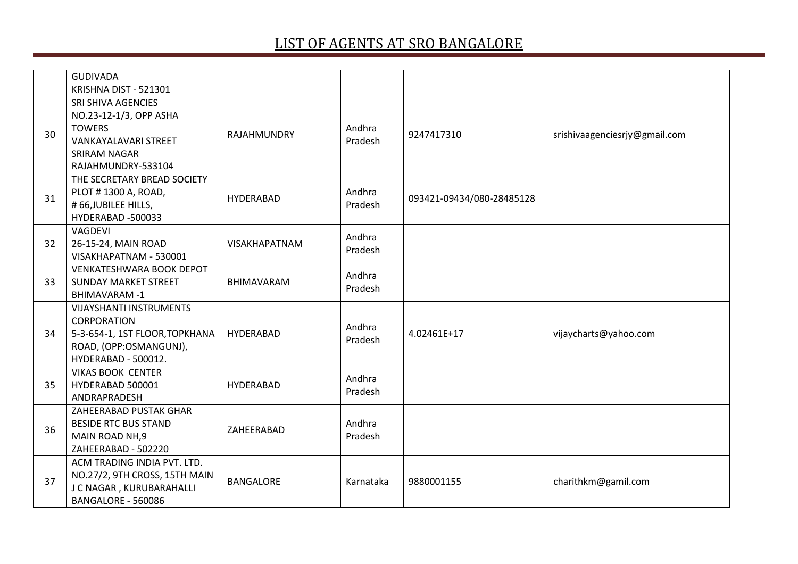|    | <b>GUDIVADA</b>                 |                   |           |                           |                               |
|----|---------------------------------|-------------------|-----------|---------------------------|-------------------------------|
|    | KRISHNA DIST - 521301           |                   |           |                           |                               |
|    | SRI SHIVA AGENCIES              |                   |           |                           |                               |
|    | NO.23-12-1/3, OPP ASHA          |                   |           |                           |                               |
|    | <b>TOWERS</b>                   |                   | Andhra    |                           |                               |
| 30 | <b>VANKAYALAVARI STREET</b>     | RAJAHMUNDRY       | Pradesh   | 9247417310                | srishivaagenciesrjy@gmail.com |
|    | SRIRAM NAGAR                    |                   |           |                           |                               |
|    | RAJAHMUNDRY-533104              |                   |           |                           |                               |
|    | THE SECRETARY BREAD SOCIETY     |                   |           |                           |                               |
| 31 | PLOT #1300 A, ROAD,             | <b>HYDERABAD</b>  | Andhra    | 093421-09434/080-28485128 |                               |
|    | #66, JUBILEE HILLS,             |                   | Pradesh   |                           |                               |
|    | HYDERABAD -500033               |                   |           |                           |                               |
|    | VAGDEVI                         |                   | Andhra    |                           |                               |
| 32 | 26-15-24, MAIN ROAD             | VISAKHAPATNAM     | Pradesh   |                           |                               |
|    | VISAKHAPATNAM - 530001          |                   |           |                           |                               |
|    | <b>VENKATESHWARA BOOK DEPOT</b> | <b>BHIMAVARAM</b> | Andhra    |                           |                               |
| 33 | <b>SUNDAY MARKET STREET</b>     |                   | Pradesh   |                           |                               |
|    | <b>BHIMAVARAM-1</b>             |                   |           |                           |                               |
|    | <b>VIJAYSHANTI INSTRUMENTS</b>  |                   |           |                           |                               |
|    | <b>CORPORATION</b>              |                   | Andhra    | 4.02461E+17               |                               |
| 34 | 5-3-654-1, 1ST FLOOR, TOPKHANA  | HYDERABAD         | Pradesh   |                           | vijaycharts@yahoo.com         |
|    | ROAD, (OPP:OSMANGUNJ),          |                   |           |                           |                               |
|    | HYDERABAD - 500012.             |                   |           |                           |                               |
|    | <b>VIKAS BOOK CENTER</b>        |                   | Andhra    |                           |                               |
| 35 | HYDERABAD 500001                | HYDERABAD         | Pradesh   |                           |                               |
|    | ANDRAPRADESH                    |                   |           |                           |                               |
|    | ZAHEERABAD PUSTAK GHAR          |                   |           |                           |                               |
| 36 | <b>BESIDE RTC BUS STAND</b>     | ZAHEERABAD        | Andhra    |                           |                               |
|    | MAIN ROAD NH, 9                 |                   | Pradesh   |                           |                               |
|    | ZAHEERABAD - 502220             |                   |           |                           |                               |
|    | ACM TRADING INDIA PVT. LTD.     |                   |           |                           |                               |
| 37 | NO.27/2, 9TH CROSS, 15TH MAIN   | <b>BANGALORE</b>  | Karnataka | 9880001155                | charithkm@gamil.com           |
|    | J C NAGAR, KURUBARAHALLI        |                   |           |                           |                               |
|    | BANGALORE - 560086              |                   |           |                           |                               |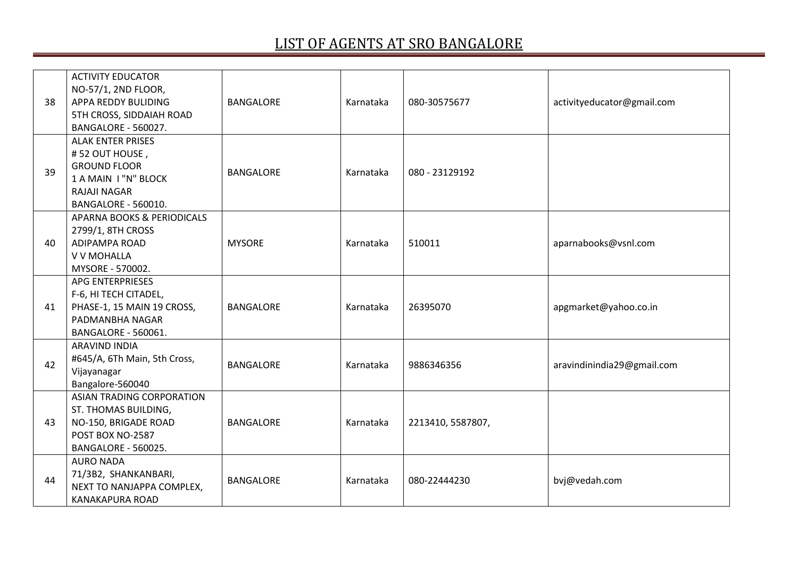| 38 | <b>ACTIVITY EDUCATOR</b><br>NO-57/1, 2ND FLOOR,<br>APPA REDDY BULIDING<br>5TH CROSS, SIDDAIAH ROAD<br>BANGALORE - 560027.        | <b>BANGALORE</b> | Karnataka | 080-30575677      | activityeducator@gmail.com |
|----|----------------------------------------------------------------------------------------------------------------------------------|------------------|-----------|-------------------|----------------------------|
| 39 | <b>ALAK ENTER PRISES</b><br>#52 OUT HOUSE,<br><b>GROUND FLOOR</b><br>1 A MAIN I "N" BLOCK<br>RAJAJI NAGAR<br>BANGALORE - 560010. | <b>BANGALORE</b> | Karnataka | 080 - 23129192    |                            |
| 40 | <b>APARNA BOOKS &amp; PERIODICALS</b><br>2799/1, 8TH CROSS<br><b>ADIPAMPA ROAD</b><br>V V MOHALLA<br>MYSORE - 570002.            | <b>MYSORE</b>    | Karnataka | 510011            | aparnabooks@vsnl.com       |
| 41 | APG ENTERPRIESES<br>F-6, HI TECH CITADEL,<br>PHASE-1, 15 MAIN 19 CROSS,<br>PADMANBHA NAGAR<br>BANGALORE - 560061.                | <b>BANGALORE</b> | Karnataka | 26395070          | apgmarket@yahoo.co.in      |
| 42 | ARAVIND INDIA<br>#645/A, 6Th Main, 5th Cross,<br>Vijayanagar<br>Bangalore-560040                                                 | <b>BANGALORE</b> | Karnataka | 9886346356        | aravindinindia29@gmail.com |
| 43 | ASIAN TRADING CORPORATION<br>ST. THOMAS BUILDING,<br>NO-150, BRIGADE ROAD<br>POST BOX NO-2587<br>BANGALORE - 560025.             | <b>BANGALORE</b> | Karnataka | 2213410, 5587807, |                            |
| 44 | <b>AURO NADA</b><br>71/3B2, SHANKANBARI,<br>NEXT TO NANJAPPA COMPLEX,<br><b>KANAKAPURA ROAD</b>                                  | <b>BANGALORE</b> | Karnataka | 080-22444230      | bvj@vedah.com              |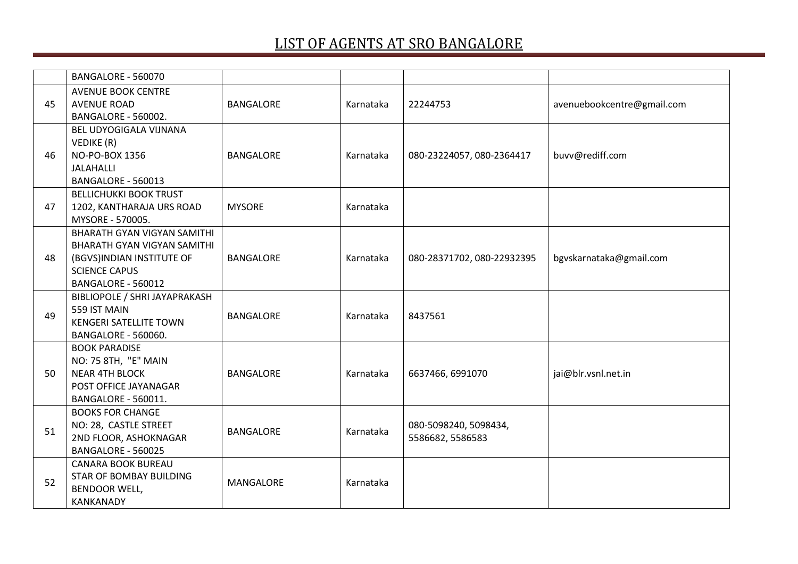|    | BANGALORE - 560070            |                  |           |                            |                            |
|----|-------------------------------|------------------|-----------|----------------------------|----------------------------|
|    | <b>AVENUE BOOK CENTRE</b>     |                  |           |                            |                            |
| 45 | <b>AVENUE ROAD</b>            | <b>BANGALORE</b> | Karnataka | 22244753                   | avenuebookcentre@gmail.com |
|    | <b>BANGALORE - 560002.</b>    |                  |           |                            |                            |
|    | BEL UDYOGIGALA VIJNANA        |                  |           |                            |                            |
|    | VEDIKE (R)                    |                  |           |                            |                            |
| 46 | NO-PO-BOX 1356                | <b>BANGALORE</b> | Karnataka | 080-23224057, 080-2364417  | buvv@rediff.com            |
|    | JALAHALLI                     |                  |           |                            |                            |
|    | BANGALORE - 560013            |                  |           |                            |                            |
|    | <b>BELLICHUKKI BOOK TRUST</b> |                  |           |                            |                            |
| 47 | 1202, KANTHARAJA URS ROAD     | <b>MYSORE</b>    | Karnataka |                            |                            |
|    | MYSORE - 570005.              |                  |           |                            |                            |
|    | BHARATH GYAN VIGYAN SAMITHI   |                  |           |                            |                            |
|    | BHARATH GYAN VIGYAN SAMITHI   |                  |           |                            |                            |
| 48 | (BGVS)INDIAN INSTITUTE OF     | <b>BANGALORE</b> | Karnataka | 080-28371702, 080-22932395 | bgvskarnataka@gmail.com    |
|    | <b>SCIENCE CAPUS</b>          |                  |           |                            |                            |
|    | BANGALORE - 560012            |                  |           |                            |                            |
|    | BIBLIOPOLE / SHRI JAYAPRAKASH |                  |           |                            |                            |
| 49 | 559 IST MAIN                  | <b>BANGALORE</b> | Karnataka | 8437561                    |                            |
|    | <b>KENGERI SATELLITE TOWN</b> |                  |           |                            |                            |
|    | <b>BANGALORE - 560060.</b>    |                  |           |                            |                            |
|    | <b>BOOK PARADISE</b>          |                  |           |                            |                            |
|    | NO: 75 8TH, "E" MAIN          |                  |           |                            |                            |
| 50 | <b>NEAR 4TH BLOCK</b>         | <b>BANGALORE</b> | Karnataka | 6637466, 6991070           | jai@blr.vsnl.net.in        |
|    | POST OFFICE JAYANAGAR         |                  |           |                            |                            |
|    | BANGALORE - 560011.           |                  |           |                            |                            |
|    | <b>BOOKS FOR CHANGE</b>       |                  |           |                            |                            |
| 51 | NO: 28, CASTLE STREET         | <b>BANGALORE</b> | Karnataka | 080-5098240, 5098434,      |                            |
|    | 2ND FLOOR, ASHOKNAGAR         |                  |           | 5586682, 5586583           |                            |
|    | BANGALORE - 560025            |                  |           |                            |                            |
|    | <b>CANARA BOOK BUREAU</b>     |                  |           |                            |                            |
| 52 | STAR OF BOMBAY BUILDING       | <b>MANGALORE</b> | Karnataka |                            |                            |
|    | <b>BENDOOR WELL,</b>          |                  |           |                            |                            |
|    | <b>KANKANADY</b>              |                  |           |                            |                            |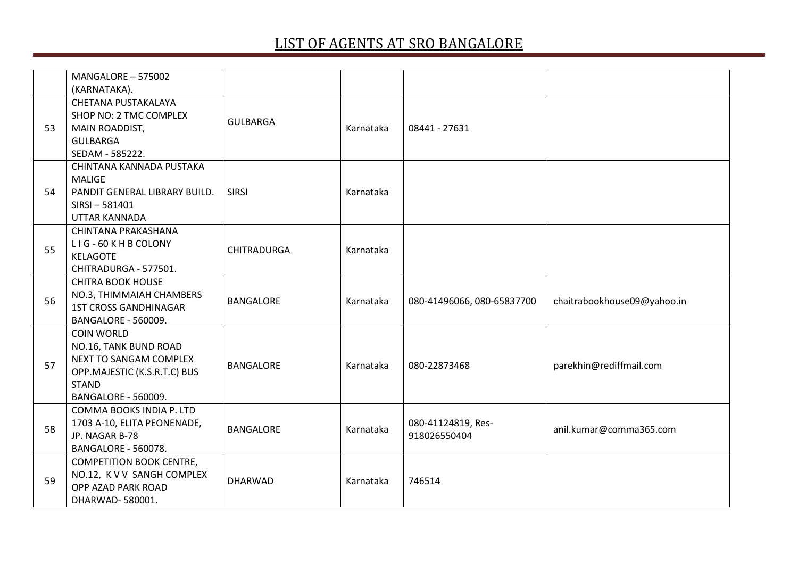|    | MANGALORE - 575002<br>(KARNATAKA).                                                                                                          |                    |           |                                    |                             |
|----|---------------------------------------------------------------------------------------------------------------------------------------------|--------------------|-----------|------------------------------------|-----------------------------|
| 53 | CHETANA PUSTAKALAYA<br>SHOP NO: 2 TMC COMPLEX<br>MAIN ROADDIST,<br><b>GULBARGA</b><br>SEDAM - 585222.                                       | <b>GULBARGA</b>    | Karnataka | 08441 - 27631                      |                             |
| 54 | CHINTANA KANNADA PUSTAKA<br><b>MALIGE</b><br>PANDIT GENERAL LIBRARY BUILD.<br>$SIRSI - 581401$<br>UTTAR KANNADA                             | <b>SIRSI</b>       | Karnataka |                                    |                             |
| 55 | CHINTANA PRAKASHANA<br>LIG-60 KHB COLONY<br><b>KELAGOTE</b><br>CHITRADURGA - 577501.                                                        | <b>CHITRADURGA</b> | Karnataka |                                    |                             |
| 56 | <b>CHITRA BOOK HOUSE</b><br>NO.3, THIMMAIAH CHAMBERS<br><b>1ST CROSS GANDHINAGAR</b><br>BANGALORE - 560009.                                 | <b>BANGALORE</b>   | Karnataka | 080-41496066, 080-65837700         | chaitrabookhouse09@yahoo.in |
| 57 | <b>COIN WORLD</b><br>NO.16, TANK BUND ROAD<br>NEXT TO SANGAM COMPLEX<br>OPP.MAJESTIC (K.S.R.T.C) BUS<br><b>STAND</b><br>BANGALORE - 560009. | <b>BANGALORE</b>   | Karnataka | 080-22873468                       | parekhin@rediffmail.com     |
| 58 | COMMA BOOKS INDIA P. LTD<br>1703 A-10, ELITA PEONENADE,<br>JP. NAGAR B-78<br>BANGALORE - 560078.                                            | <b>BANGALORE</b>   | Karnataka | 080-41124819, Res-<br>918026550404 | anil.kumar@comma365.com     |
| 59 | <b>COMPETITION BOOK CENTRE,</b><br>NO.12, K V V SANGH COMPLEX<br>OPP AZAD PARK ROAD<br>DHARWAD-580001.                                      | <b>DHARWAD</b>     | Karnataka | 746514                             |                             |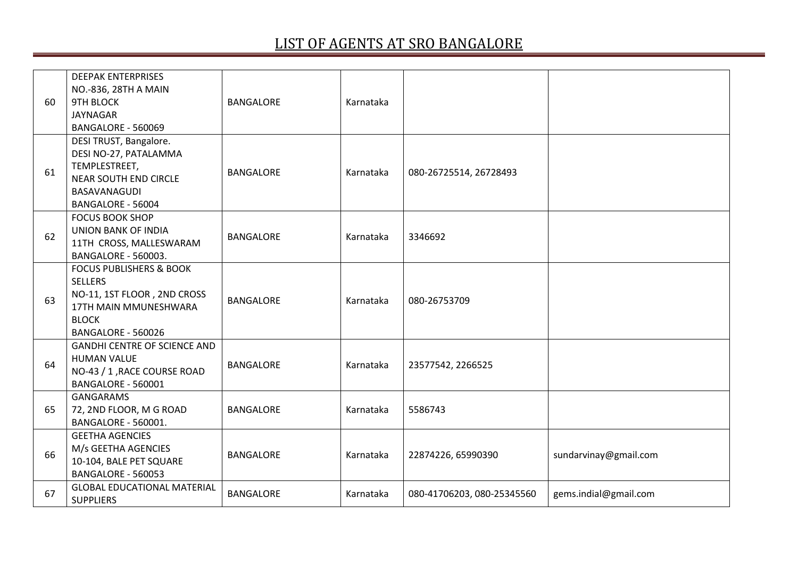| 60 | <b>DEEPAK ENTERPRISES</b><br>NO.-836, 28TH A MAIN<br><b>9TH BLOCK</b><br><b>JAYNAGAR</b>                                                           | <b>BANGALORE</b> | Karnataka |                            |                       |
|----|----------------------------------------------------------------------------------------------------------------------------------------------------|------------------|-----------|----------------------------|-----------------------|
|    | BANGALORE - 560069                                                                                                                                 |                  |           |                            |                       |
| 61 | DESI TRUST, Bangalore.<br>DESI NO-27, PATALAMMA<br>TEMPLESTREET,<br><b>NEAR SOUTH END CIRCLE</b><br><b>BASAVANAGUDI</b><br>BANGALORE - 56004       | <b>BANGALORE</b> | Karnataka | 080-26725514, 26728493     |                       |
| 62 | <b>FOCUS BOOK SHOP</b><br><b>UNION BANK OF INDIA</b><br>11TH CROSS, MALLESWARAM<br>BANGALORE - 560003.                                             | <b>BANGALORE</b> | Karnataka | 3346692                    |                       |
| 63 | <b>FOCUS PUBLISHERS &amp; BOOK</b><br><b>SELLERS</b><br>NO-11, 1ST FLOOR, 2ND CROSS<br>17TH MAIN MMUNESHWARA<br><b>BLOCK</b><br>BANGALORE - 560026 | <b>BANGALORE</b> | Karnataka | 080-26753709               |                       |
| 64 | <b>GANDHI CENTRE OF SCIENCE AND</b><br><b>HUMAN VALUE</b><br>NO-43 / 1, RACE COURSE ROAD<br>BANGALORE - 560001                                     | <b>BANGALORE</b> | Karnataka | 23577542, 2266525          |                       |
| 65 | <b>GANGARAMS</b><br>72, 2ND FLOOR, M G ROAD<br>BANGALORE - 560001.                                                                                 | <b>BANGALORE</b> | Karnataka | 5586743                    |                       |
| 66 | <b>GEETHA AGENCIES</b><br>M/s GEETHA AGENCIES<br>10-104, BALE PET SQUARE<br>BANGALORE - 560053                                                     | <b>BANGALORE</b> | Karnataka | 22874226, 65990390         | sundarvinay@gmail.com |
| 67 | <b>GLOBAL EDUCATIONAL MATERIAL</b><br><b>SUPPLIERS</b>                                                                                             | <b>BANGALORE</b> | Karnataka | 080-41706203, 080-25345560 | gems.indial@gmail.com |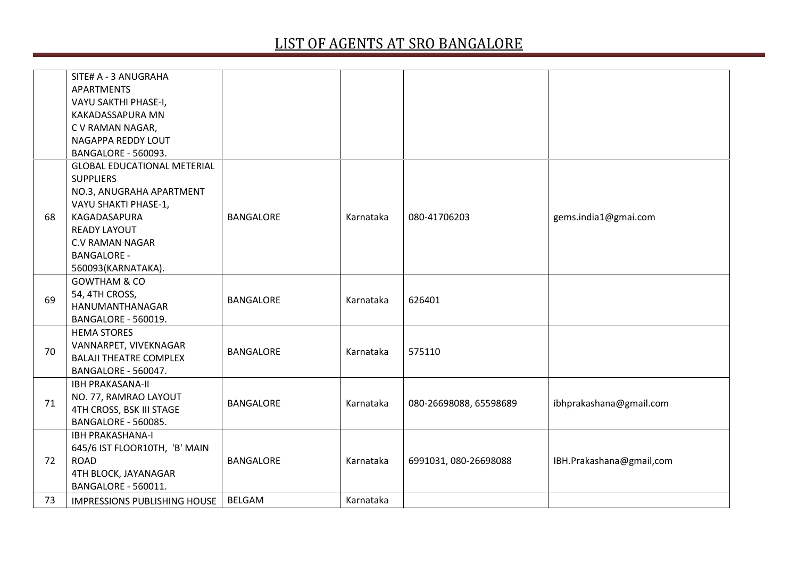|    | SITE# A - 3 ANUGRAHA               |                  |           |                        |                          |
|----|------------------------------------|------------------|-----------|------------------------|--------------------------|
|    | <b>APARTMENTS</b>                  |                  |           |                        |                          |
|    | VAYU SAKTHI PHASE-I,               |                  |           |                        |                          |
|    | KAKADASSAPURA MN                   |                  |           |                        |                          |
|    | C V RAMAN NAGAR,                   |                  |           |                        |                          |
|    | NAGAPPA REDDY LOUT                 |                  |           |                        |                          |
|    | BANGALORE - 560093.                |                  |           |                        |                          |
|    | <b>GLOBAL EDUCATIONAL METERIAL</b> |                  |           |                        |                          |
|    | <b>SUPPLIERS</b>                   |                  |           |                        |                          |
|    | NO.3, ANUGRAHA APARTMENT           |                  |           |                        |                          |
|    | VAYU SHAKTI PHASE-1,               |                  |           |                        |                          |
| 68 | KAGADASAPURA                       | <b>BANGALORE</b> | Karnataka | 080-41706203           | gems.india1@gmai.com     |
|    | <b>READY LAYOUT</b>                |                  |           |                        |                          |
|    | <b>C.V RAMAN NAGAR</b>             |                  |           |                        |                          |
|    | <b>BANGALORE -</b>                 |                  |           |                        |                          |
|    | 560093(KARNATAKA).                 |                  |           |                        |                          |
|    | <b>GOWTHAM &amp; CO</b>            |                  |           |                        |                          |
| 69 | 54, 4TH CROSS,                     | <b>BANGALORE</b> | Karnataka | 626401                 |                          |
|    | HANUMANTHANAGAR                    |                  |           |                        |                          |
|    | BANGALORE - 560019.                |                  |           |                        |                          |
|    | <b>HEMA STORES</b>                 |                  |           |                        |                          |
| 70 | VANNARPET, VIVEKNAGAR              | <b>BANGALORE</b> | Karnataka | 575110                 |                          |
|    | <b>BALAJI THEATRE COMPLEX</b>      |                  |           |                        |                          |
|    | BANGALORE - 560047.                |                  |           |                        |                          |
|    | <b>IBH PRAKASANA-II</b>            |                  |           |                        |                          |
| 71 | NO. 77, RAMRAO LAYOUT              | <b>BANGALORE</b> | Karnataka | 080-26698088, 65598689 | ibhprakashana@gmail.com  |
|    | 4TH CROSS, BSK III STAGE           |                  |           |                        |                          |
|    | <b>BANGALORE - 560085.</b>         |                  |           |                        |                          |
|    | <b>IBH PRAKASHANA-I</b>            |                  |           |                        |                          |
|    | 645/6 IST FLOOR10TH, 'B' MAIN      |                  |           |                        |                          |
| 72 | <b>ROAD</b>                        | <b>BANGALORE</b> | Karnataka | 6991031, 080-26698088  | IBH.Prakashana@gmail,com |
|    | 4TH BLOCK, JAYANAGAR               |                  |           |                        |                          |
|    | BANGALORE - 560011.                |                  |           |                        |                          |
| 73 | IMPRESSIONS PUBLISHING HOUSE       | <b>BELGAM</b>    | Karnataka |                        |                          |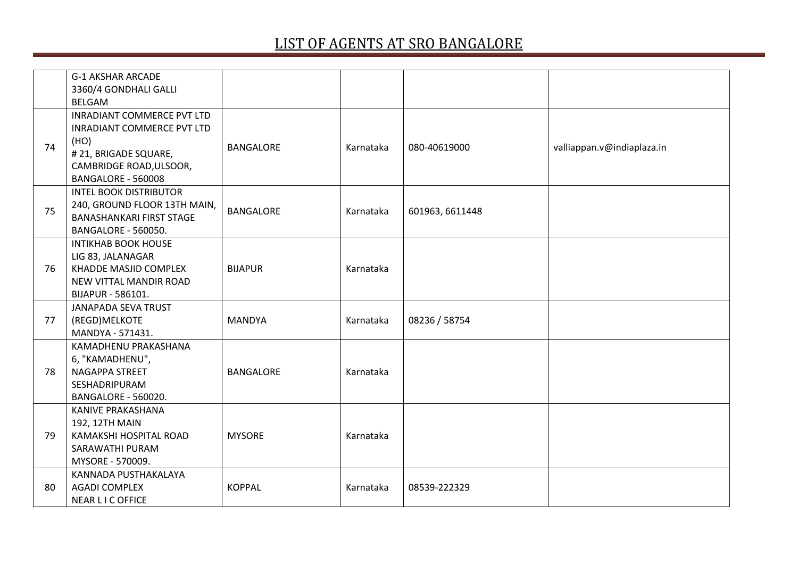|    | <b>G-1 AKSHAR ARCADE</b><br>3360/4 GONDHALI GALLI<br><b>BELGAM</b>                                                                                       |                  |           |                 |                            |
|----|----------------------------------------------------------------------------------------------------------------------------------------------------------|------------------|-----------|-----------------|----------------------------|
| 74 | <b>INRADIANT COMMERCE PVT LTD</b><br><b>INRADIANT COMMERCE PVT LTD</b><br>(HO)<br># 21, BRIGADE SQUARE,<br>CAMBRIDGE ROAD, ULSOOR,<br>BANGALORE - 560008 | <b>BANGALORE</b> | Karnataka | 080-40619000    | valliappan.v@indiaplaza.in |
| 75 | <b>INTEL BOOK DISTRIBUTOR</b><br>240, GROUND FLOOR 13TH MAIN,<br><b>BANASHANKARI FIRST STAGE</b><br>BANGALORE - 560050.                                  | <b>BANGALORE</b> | Karnataka | 601963, 6611448 |                            |
| 76 | <b>INTIKHAB BOOK HOUSE</b><br>LIG 83, JALANAGAR<br>KHADDE MASJID COMPLEX<br>NEW VITTAL MANDIR ROAD<br>BIJAPUR - 586101.                                  | <b>BIJAPUR</b>   | Karnataka |                 |                            |
| 77 | <b>JANAPADA SEVA TRUST</b><br>(REGD)MELKOTE<br>MANDYA - 571431.                                                                                          | <b>MANDYA</b>    | Karnataka | 08236 / 58754   |                            |
| 78 | KAMADHENU PRAKASHANA<br>6, "KAMADHENU",<br>NAGAPPA STREET<br>SESHADRIPURAM<br>BANGALORE - 560020.                                                        | <b>BANGALORE</b> | Karnataka |                 |                            |
| 79 | <b>KANIVE PRAKASHANA</b><br>192, 12TH MAIN<br>KAMAKSHI HOSPITAL ROAD<br>SARAWATHI PURAM<br>MYSORE - 570009.                                              | <b>MYSORE</b>    | Karnataka |                 |                            |
| 80 | KANNADA PUSTHAKALAYA<br><b>AGADI COMPLEX</b><br>NEAR LIC OFFICE                                                                                          | <b>KOPPAL</b>    | Karnataka | 08539-222329    |                            |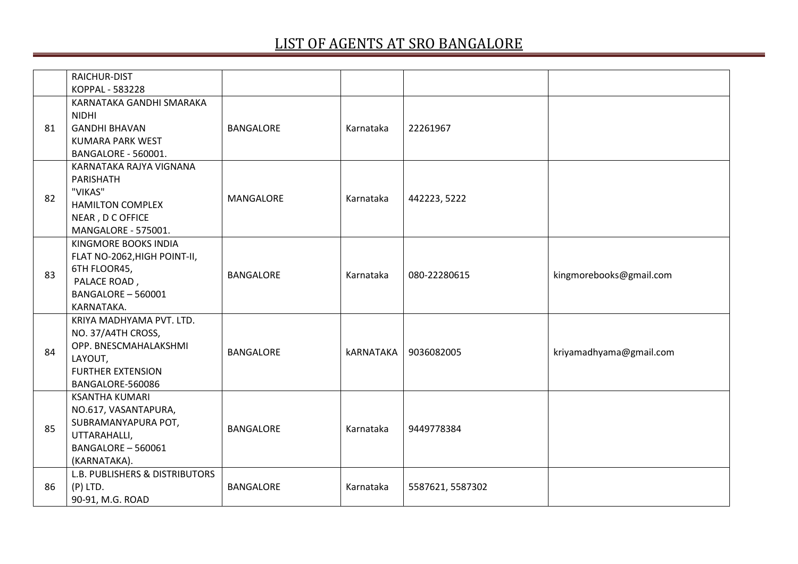|    | RAICHUR-DIST                                |                  |                  |                  |                         |
|----|---------------------------------------------|------------------|------------------|------------------|-------------------------|
|    | KOPPAL - 583228                             |                  |                  |                  |                         |
|    | KARNATAKA GANDHI SMARAKA                    |                  |                  |                  |                         |
|    | <b>NIDHI</b><br><b>GANDHI BHAVAN</b>        | <b>BANGALORE</b> |                  | 22261967         |                         |
| 81 | <b>KUMARA PARK WEST</b>                     |                  | Karnataka        |                  |                         |
|    | BANGALORE - 560001.                         |                  |                  |                  |                         |
|    | KARNATAKA RAJYA VIGNANA                     |                  |                  |                  |                         |
|    | PARISHATH                                   |                  |                  |                  |                         |
|    | "VIKAS"                                     |                  |                  |                  |                         |
| 82 | <b>HAMILTON COMPLEX</b>                     | <b>MANGALORE</b> | Karnataka        | 442223, 5222     |                         |
|    | NEAR, D C OFFICE                            |                  |                  |                  |                         |
|    | MANGALORE - 575001.                         |                  |                  |                  |                         |
|    | KINGMORE BOOKS INDIA                        |                  |                  |                  |                         |
|    | FLAT NO-2062, HIGH POINT-II,                |                  | Karnataka        | 080-22280615     |                         |
| 83 | 6TH FLOOR45,                                | <b>BANGALORE</b> |                  |                  | kingmorebooks@gmail.com |
|    | PALACE ROAD,                                |                  |                  |                  |                         |
|    | BANGALORE - 560001                          |                  |                  |                  |                         |
|    | KARNATAKA.                                  |                  |                  |                  |                         |
|    | KRIYA MADHYAMA PVT. LTD.                    |                  |                  |                  |                         |
|    | NO. 37/A4TH CROSS,<br>OPP. BNESCMAHALAKSHMI |                  |                  | 9036082005       |                         |
| 84 | LAYOUT,                                     | <b>BANGALORE</b> | <b>kARNATAKA</b> |                  | kriyamadhyama@gmail.com |
|    | <b>FURTHER EXTENSION</b>                    |                  |                  |                  |                         |
|    | BANGALORE-560086                            |                  |                  |                  |                         |
|    | <b>KSANTHA KUMARI</b>                       |                  |                  |                  |                         |
|    | NO.617, VASANTAPURA,                        |                  |                  |                  |                         |
|    | SUBRAMANYAPURA POT,                         |                  |                  |                  |                         |
| 85 | UTTARAHALLI,                                | <b>BANGALORE</b> | Karnataka        | 9449778384       |                         |
|    | BANGALORE - 560061                          |                  |                  |                  |                         |
|    | (KARNATAKA).                                |                  |                  |                  |                         |
|    | <b>L.B. PUBLISHERS &amp; DISTRIBUTORS</b>   |                  |                  |                  |                         |
| 86 | $(P)$ LTD.                                  | <b>BANGALORE</b> | Karnataka        | 5587621, 5587302 |                         |
|    | 90-91, M.G. ROAD                            |                  |                  |                  |                         |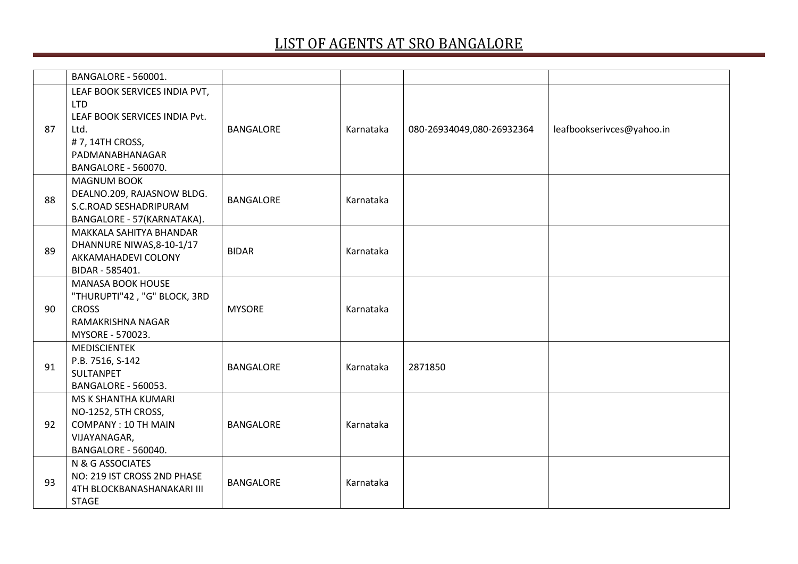|    | BANGALORE - 560001.                                   |                  |           |                           |                           |
|----|-------------------------------------------------------|------------------|-----------|---------------------------|---------------------------|
|    | LEAF BOOK SERVICES INDIA PVT,                         |                  |           |                           |                           |
|    | <b>LTD</b>                                            |                  |           |                           |                           |
|    | LEAF BOOK SERVICES INDIA Pvt.                         |                  |           |                           |                           |
| 87 | Ltd.                                                  | <b>BANGALORE</b> | Karnataka | 080-26934049,080-26932364 | leafbookserivces@yahoo.in |
|    | #7, 14TH CROSS,                                       |                  |           |                           |                           |
|    | PADMANABHANAGAR                                       |                  |           |                           |                           |
|    | BANGALORE - 560070.                                   |                  |           |                           |                           |
|    | <b>MAGNUM BOOK</b>                                    |                  |           |                           |                           |
| 88 | DEALNO.209, RAJASNOW BLDG.                            | <b>BANGALORE</b> | Karnataka |                           |                           |
|    | S.C.ROAD SESHADRIPURAM                                |                  |           |                           |                           |
|    | BANGALORE - 57(KARNATAKA).<br>MAKKALA SAHITYA BHANDAR |                  |           |                           |                           |
|    | DHANNURE NIWAS, 8-10-1/17                             |                  |           |                           |                           |
| 89 | AKKAMAHADEVI COLONY                                   | <b>BIDAR</b>     | Karnataka |                           |                           |
|    | BIDAR - 585401.                                       |                  |           |                           |                           |
|    | <b>MANASA BOOK HOUSE</b>                              |                  |           |                           |                           |
|    | "THURUPTI"42, "G" BLOCK, 3RD                          |                  |           |                           |                           |
| 90 | <b>CROSS</b>                                          | <b>MYSORE</b>    | Karnataka |                           |                           |
|    | RAMAKRISHNA NAGAR                                     |                  |           |                           |                           |
|    | MYSORE - 570023.                                      |                  |           |                           |                           |
|    | <b>MEDISCIENTEK</b>                                   |                  |           |                           |                           |
| 91 | P.B. 7516, S-142                                      | <b>BANGALORE</b> | Karnataka | 2871850                   |                           |
|    | SULTANPET                                             |                  |           |                           |                           |
|    | BANGALORE - 560053.                                   |                  |           |                           |                           |
|    | MS K SHANTHA KUMARI                                   |                  |           |                           |                           |
|    | NO-1252, 5TH CROSS,                                   |                  |           |                           |                           |
| 92 | <b>COMPANY: 10 TH MAIN</b>                            | <b>BANGALORE</b> | Karnataka |                           |                           |
|    | VIJAYANAGAR,                                          |                  |           |                           |                           |
|    | BANGALORE - 560040.                                   |                  |           |                           |                           |
|    | N & G ASSOCIATES                                      |                  |           |                           |                           |
| 93 | NO: 219 IST CROSS 2ND PHASE                           | <b>BANGALORE</b> | Karnataka |                           |                           |
|    | 4TH BLOCKBANASHANAKARI III                            |                  |           |                           |                           |
|    | <b>STAGE</b>                                          |                  |           |                           |                           |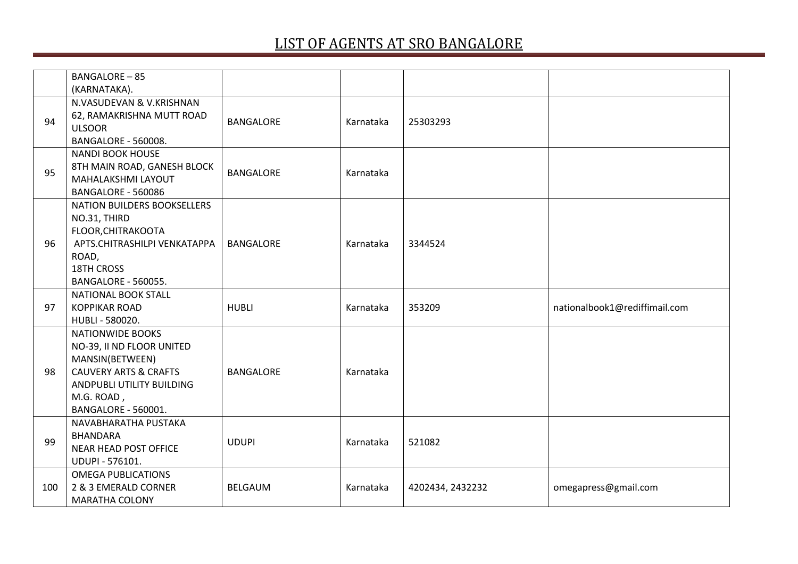|     | <b>BANGALORE-85</b><br>(KARNATAKA).           |                  |           |                  |                               |
|-----|-----------------------------------------------|------------------|-----------|------------------|-------------------------------|
|     | N.VASUDEVAN & V.KRISHNAN                      |                  |           |                  |                               |
| 94  | 62, RAMAKRISHNA MUTT ROAD<br><b>ULSOOR</b>    | <b>BANGALORE</b> | Karnataka | 25303293         |                               |
|     | BANGALORE - 560008.                           |                  |           |                  |                               |
|     | <b>NANDI BOOK HOUSE</b>                       |                  |           |                  |                               |
| 95  | 8TH MAIN ROAD, GANESH BLOCK                   | <b>BANGALORE</b> | Karnataka |                  |                               |
|     | MAHALAKSHMI LAYOUT<br>BANGALORE - 560086      |                  |           |                  |                               |
|     | <b>NATION BUILDERS BOOKSELLERS</b>            |                  |           |                  |                               |
|     | NO.31, THIRD                                  |                  |           |                  |                               |
|     | FLOOR, CHITRAKOOTA                            |                  |           |                  |                               |
| 96  | APTS.CHITRASHILPI VENKATAPPA                  | <b>BANGALORE</b> | Karnataka | 3344524          |                               |
|     | ROAD,                                         |                  |           |                  |                               |
|     | 18TH CROSS                                    |                  |           |                  |                               |
|     | BANGALORE - 560055.                           |                  |           |                  |                               |
|     |                                               |                  |           |                  |                               |
|     | NATIONAL BOOK STALL                           |                  |           |                  |                               |
| 97  | <b>KOPPIKAR ROAD</b>                          | <b>HUBLI</b>     | Karnataka | 353209           | nationalbook1@rediffimail.com |
|     | HUBLI - 580020.                               |                  |           |                  |                               |
|     | <b>NATIONWIDE BOOKS</b>                       |                  |           |                  |                               |
|     | NO-39, II ND FLOOR UNITED                     |                  |           |                  |                               |
|     | MANSIN(BETWEEN)                               |                  |           |                  |                               |
| 98  | <b>CAUVERY ARTS &amp; CRAFTS</b>              | <b>BANGALORE</b> | Karnataka |                  |                               |
|     | ANDPUBLI UTILITY BUILDING                     |                  |           |                  |                               |
|     | M.G. ROAD,<br>BANGALORE - 560001.             |                  |           |                  |                               |
|     | NAVABHARATHA PUSTAKA                          |                  |           |                  |                               |
|     | <b>BHANDARA</b>                               |                  |           |                  |                               |
| 99  | <b>NEAR HEAD POST OFFICE</b>                  | <b>UDUPI</b>     | Karnataka | 521082           |                               |
|     | UDUPI - 576101.                               |                  |           |                  |                               |
|     | <b>OMEGA PUBLICATIONS</b>                     |                  |           |                  |                               |
| 100 | 2 & 3 EMERALD CORNER<br><b>MARATHA COLONY</b> | <b>BELGAUM</b>   | Karnataka | 4202434, 2432232 | omegapress@gmail.com          |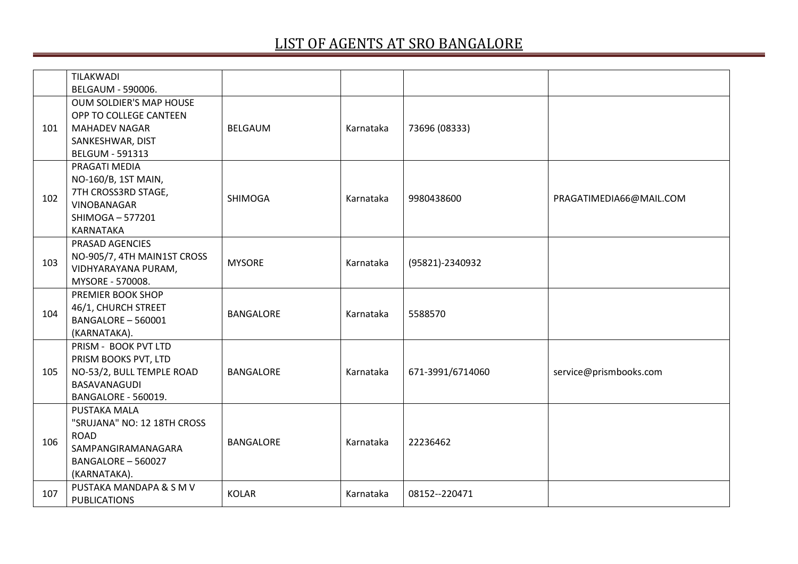|     | TILAKWADI<br>BELGAUM - 590006.                                                                                         |                  |           |                  |                         |
|-----|------------------------------------------------------------------------------------------------------------------------|------------------|-----------|------------------|-------------------------|
| 101 | OUM SOLDIER'S MAP HOUSE<br>OPP TO COLLEGE CANTEEN<br><b>MAHADEV NAGAR</b><br>SANKESHWAR, DIST<br>BELGUM - 591313       | <b>BELGAUM</b>   | Karnataka | 73696 (08333)    |                         |
| 102 | PRAGATI MEDIA<br>NO-160/B, 1ST MAIN,<br>7TH CROSS3RD STAGE,<br>VINOBANAGAR<br>SHIMOGA-577201<br>KARNATAKA              | <b>SHIMOGA</b>   | Karnataka | 9980438600       | PRAGATIMEDIA66@MAIL.COM |
| 103 | PRASAD AGENCIES<br>NO-905/7, 4TH MAIN1ST CROSS<br>VIDHYARAYANA PURAM,<br>MYSORE - 570008.                              | <b>MYSORE</b>    | Karnataka | (95821)-2340932  |                         |
| 104 | PREMIER BOOK SHOP<br>46/1, CHURCH STREET<br>BANGALORE - 560001<br>(KARNATAKA).                                         | <b>BANGALORE</b> | Karnataka | 5588570          |                         |
| 105 | PRISM - BOOK PVT LTD<br>PRISM BOOKS PVT, LTD<br>NO-53/2, BULL TEMPLE ROAD<br>BASAVANAGUDI<br>BANGALORE - 560019.       | <b>BANGALORE</b> | Karnataka | 671-3991/6714060 | service@prismbooks.com  |
| 106 | PUSTAKA MALA<br>"SRUJANA" NO: 12 18TH CROSS<br><b>ROAD</b><br>SAMPANGIRAMANAGARA<br>BANGALORE - 560027<br>(KARNATAKA). | <b>BANGALORE</b> | Karnataka | 22236462         |                         |
| 107 | PUSTAKA MANDAPA & S M V<br><b>PUBLICATIONS</b>                                                                         | <b>KOLAR</b>     | Karnataka | 08152 -- 220471  |                         |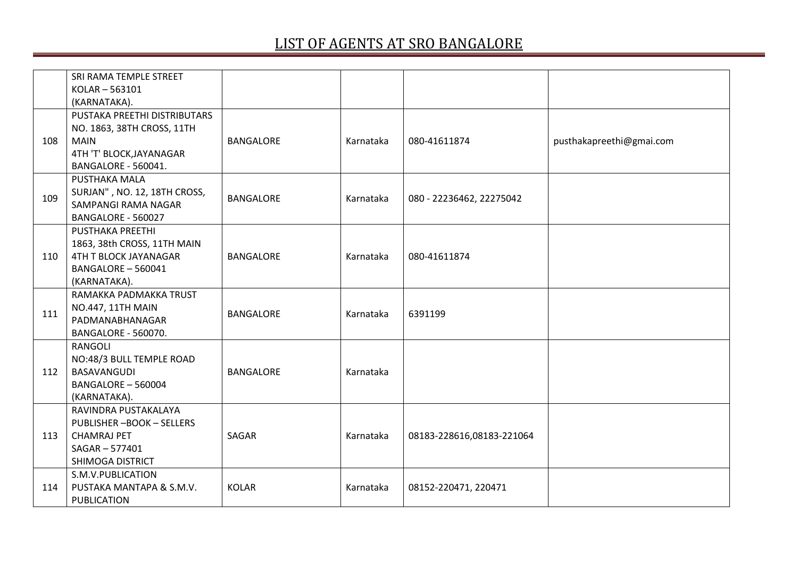|     | SRI RAMA TEMPLE STREET                  |                  |           |                           |                          |
|-----|-----------------------------------------|------------------|-----------|---------------------------|--------------------------|
|     | KOLAR-563101                            |                  |           |                           |                          |
|     | (KARNATAKA).                            |                  |           |                           |                          |
|     | PUSTAKA PREETHI DISTRIBUTARS            |                  |           |                           |                          |
|     | NO. 1863, 38TH CROSS, 11TH              |                  |           |                           |                          |
| 108 | <b>MAIN</b>                             | <b>BANGALORE</b> | Karnataka | 080-41611874              | pusthakapreethi@gmai.com |
|     | 4TH 'T' BLOCK, JAYANAGAR                |                  |           |                           |                          |
|     | BANGALORE - 560041.                     |                  |           |                           |                          |
|     | PUSTHAKA MALA                           |                  |           |                           |                          |
| 109 | SURJAN", NO. 12, 18TH CROSS,            | <b>BANGALORE</b> | Karnataka | 080 - 22236462, 22275042  |                          |
|     | SAMPANGI RAMA NAGAR                     |                  |           |                           |                          |
|     | BANGALORE - 560027                      |                  |           |                           |                          |
|     | PUSTHAKA PREETHI                        |                  |           |                           |                          |
|     | 1863, 38th CROSS, 11TH MAIN             |                  |           |                           |                          |
| 110 | 4TH T BLOCK JAYANAGAR                   | <b>BANGALORE</b> | Karnataka | 080-41611874              |                          |
|     | BANGALORE - 560041                      |                  |           |                           |                          |
|     | (KARNATAKA).                            |                  |           |                           |                          |
|     | RAMAKKA PADMAKKA TRUST                  |                  |           |                           |                          |
| 111 | <b>NO.447, 11TH MAIN</b>                | <b>BANGALORE</b> | Karnataka | 6391199                   |                          |
|     | PADMANABHANAGAR                         |                  |           |                           |                          |
|     | <b>BANGALORE - 560070.</b>              |                  |           |                           |                          |
|     | RANGOLI                                 |                  |           |                           |                          |
| 112 | NO:48/3 BULL TEMPLE ROAD<br>BASAVANGUDI | <b>BANGALORE</b> |           |                           |                          |
|     | BANGALORE - 560004                      |                  | Karnataka |                           |                          |
|     | (KARNATAKA).                            |                  |           |                           |                          |
|     | RAVINDRA PUSTAKALAYA                    |                  |           |                           |                          |
|     | <b>PUBLISHER-BOOK-SELLERS</b>           |                  |           |                           |                          |
| 113 | <b>CHAMRAJ PET</b>                      | SAGAR            | Karnataka | 08183-228616,08183-221064 |                          |
|     | SAGAR-577401                            |                  |           |                           |                          |
|     | SHIMOGA DISTRICT                        |                  |           |                           |                          |
|     | S.M.V.PUBLICATION                       |                  |           |                           |                          |
| 114 | PUSTAKA MANTAPA & S.M.V.                | <b>KOLAR</b>     | Karnataka | 08152-220471, 220471      |                          |
|     | <b>PUBLICATION</b>                      |                  |           |                           |                          |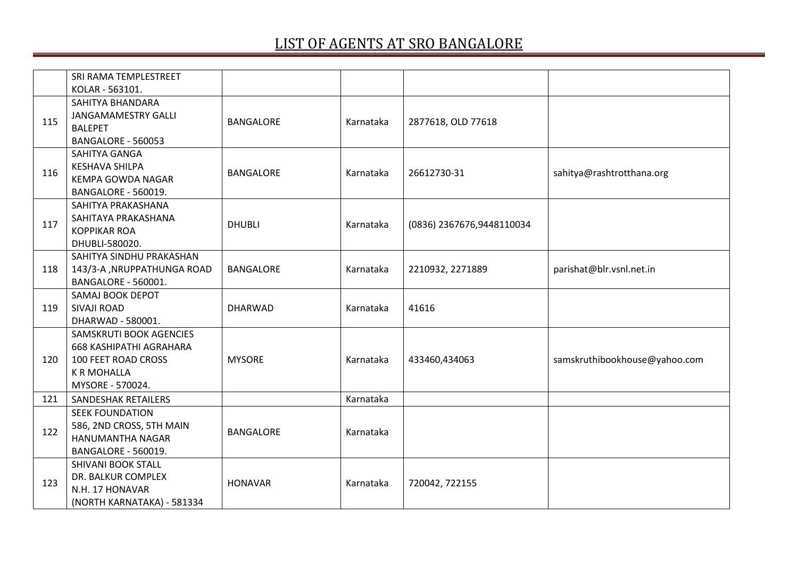|     | SRI RAMA TEMPLESTREET                                                                                                             |                  |           |                           |                               |
|-----|-----------------------------------------------------------------------------------------------------------------------------------|------------------|-----------|---------------------------|-------------------------------|
|     | KOLAR - 563101.                                                                                                                   |                  |           |                           |                               |
| 115 | SAHITYA BHANDARA<br><b>JANGAMAMESTRY GALLI</b><br><b>BALEPET</b><br>BANGALORE - 560053                                            | <b>BANGALORE</b> | Karnataka | 2877618, OLD 77618        |                               |
| 116 | SAHITYA GANGA<br><b>KESHAVA SHILPA</b><br>KEMPA GOWDA NAGAR<br><b>BANGALORE - 560019.</b>                                         | <b>BANGALORE</b> | Karnataka | 26612730-31               | sahitya@rashtrotthana.org     |
| 117 | SAHITYA PRAKASHANA<br>SAHITAYA PRAKASHANA<br><b>KOPPIKAR ROA</b><br>DHUBLI-580020.                                                | <b>DHUBLI</b>    | Karnataka | (0836) 2367676,9448110034 |                               |
| 118 | SAHITYA SINDHU PRAKASHAN<br>143/3-A , NRUPPATHUNGA ROAD<br>BANGALORE - 560001.                                                    | <b>BANGALORE</b> | Karnataka | 2210932, 2271889          | parishat@blr.vsnl.net.in      |
| 119 | SAMAJ BOOK DEPOT<br><b>SIVAJI ROAD</b><br>DHARWAD - 580001.                                                                       | <b>DHARWAD</b>   | Karnataka | 41616                     |                               |
| 120 | SAMSKRUTI BOOK AGENCIES<br><b>668 KASHIPATHI AGRAHARA</b><br><b>100 FEET ROAD CROSS</b><br><b>K R MOHALLA</b><br>MYSORE - 570024. | <b>MYSORE</b>    | Karnataka | 433460,434063             | samskruthibookhouse@yahoo.com |
| 121 | SANDESHAK RETAILERS                                                                                                               |                  | Karnataka |                           |                               |
| 122 | <b>SEEK FOUNDATION</b><br>586, 2ND CROSS, 5TH MAIN<br>HANUMANTHA NAGAR<br><b>BANGALORE - 560019.</b>                              | <b>BANGALORE</b> | Karnataka |                           |                               |
| 123 | <b>SHIVANI BOOK STALL</b><br>DR. BALKUR COMPLEX<br>N.H. 17 HONAVAR<br>(NORTH KARNATAKA) - 581334                                  | <b>HONAVAR</b>   | Karnataka | 720042, 722155            |                               |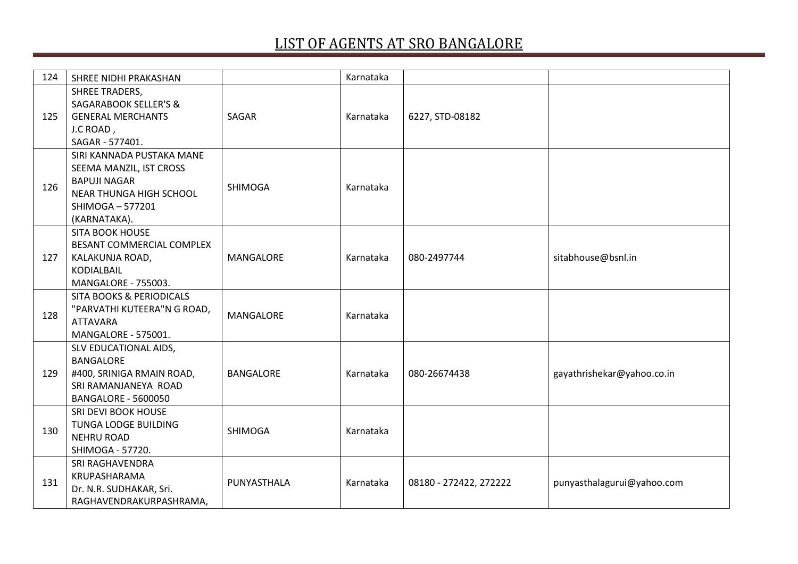| 124 | SHREE NIDHI PRAKASHAN                                                                                                                    |                  | Karnataka |                        |                            |
|-----|------------------------------------------------------------------------------------------------------------------------------------------|------------------|-----------|------------------------|----------------------------|
| 125 | <b>SHREE TRADERS,</b><br><b>SAGARABOOK SELLER'S &amp;</b><br><b>GENERAL MERCHANTS</b><br>J.C ROAD,<br>SAGAR - 577401.                    | SAGAR            | Karnataka | 6227, STD-08182        |                            |
| 126 | SIRI KANNADA PUSTAKA MANE<br>SEEMA MANZIL, IST CROSS<br><b>BAPUJI NAGAR</b><br>NEAR THUNGA HIGH SCHOOL<br>SHIMOGA-577201<br>(KARNATAKA). | <b>SHIMOGA</b>   | Karnataka |                        |                            |
| 127 | <b>SITA BOOK HOUSE</b><br>BESANT COMMERCIAL COMPLEX<br>KALAKUNJA ROAD,<br><b>KODIALBAIL</b><br>MANGALORE - 755003.                       | MANGALORE        | Karnataka | 080-2497744            | sitabhouse@bsnl.in         |
| 128 | <b>SITA BOOKS &amp; PERIODICALS</b><br>"PARVATHI KUTEERA"N G ROAD,<br><b>ATTAVARA</b><br>MANGALORE - 575001.                             | MANGALORE        | Karnataka |                        |                            |
| 129 | SLV EDUCATIONAL AIDS,<br><b>BANGALORE</b><br>#400, SRINIGA RMAIN ROAD,<br>SRI RAMANJANEYA ROAD<br><b>BANGALORE - 5600050</b>             | <b>BANGALORE</b> | Karnataka | 080-26674438           | gayathrishekar@yahoo.co.in |
| 130 | SRI DEVI BOOK HOUSE<br>TUNGA LODGE BUILDING<br><b>NEHRU ROAD</b><br>SHIMOGA - 57720.                                                     | <b>SHIMOGA</b>   | Karnataka |                        |                            |
| 131 | SRI RAGHAVENDRA<br>KRUPASHARAMA<br>Dr. N.R. SUDHAKAR, Sri.<br>RAGHAVENDRAKURPASHRAMA,                                                    | PUNYASTHALA      | Karnataka | 08180 - 272422, 272222 | punyasthalagurui@yahoo.com |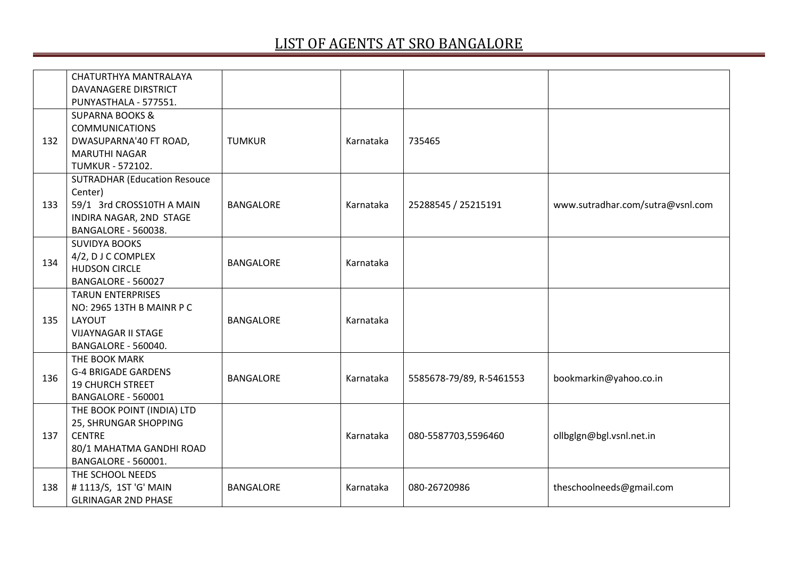|     | CHATURTHYA MANTRALAYA<br><b>DAVANAGERE DIRSTRICT</b><br>PUNYASTHALA - 577551.                                                        |                  |           |                          |                                  |
|-----|--------------------------------------------------------------------------------------------------------------------------------------|------------------|-----------|--------------------------|----------------------------------|
| 132 | <b>SUPARNA BOOKS &amp;</b><br><b>COMMUNICATIONS</b><br>DWASUPARNA'40 FT ROAD,<br><b>MARUTHI NAGAR</b><br><b>TUMKUR - 572102.</b>     | <b>TUMKUR</b>    | Karnataka | 735465                   |                                  |
| 133 | <b>SUTRADHAR (Education Resouce</b><br>Center)<br>59/1 3rd CROSS10TH A MAIN<br>INDIRA NAGAR, 2ND STAGE<br><b>BANGALORE - 560038.</b> | <b>BANGALORE</b> | Karnataka | 25288545 / 25215191      | www.sutradhar.com/sutra@vsnl.com |
| 134 | <b>SUVIDYA BOOKS</b><br>4/2, DJ C COMPLEX<br><b>HUDSON CIRCLE</b><br>BANGALORE - 560027                                              | <b>BANGALORE</b> | Karnataka |                          |                                  |
| 135 | <b>TARUN ENTERPRISES</b><br>NO: 2965 13TH B MAINR P C<br>LAYOUT<br><b>VIJAYNAGAR II STAGE</b><br>BANGALORE - 560040.                 | <b>BANGALORE</b> | Karnataka |                          |                                  |
| 136 | THE BOOK MARK<br><b>G-4 BRIGADE GARDENS</b><br><b>19 CHURCH STREET</b><br>BANGALORE - 560001                                         | <b>BANGALORE</b> | Karnataka | 5585678-79/89, R-5461553 | bookmarkin@yahoo.co.in           |
| 137 | THE BOOK POINT (INDIA) LTD<br>25, SHRUNGAR SHOPPING<br><b>CENTRE</b><br>80/1 MAHATMA GANDHI ROAD<br>BANGALORE - 560001.              |                  | Karnataka | 080-5587703,5596460      | ollbglgn@bgl.vsnl.net.in         |
| 138 | THE SCHOOL NEEDS<br>#1113/S, 1ST 'G' MAIN<br><b>GLRINAGAR 2ND PHASE</b>                                                              | <b>BANGALORE</b> | Karnataka | 080-26720986             | theschoolneeds@gmail.com         |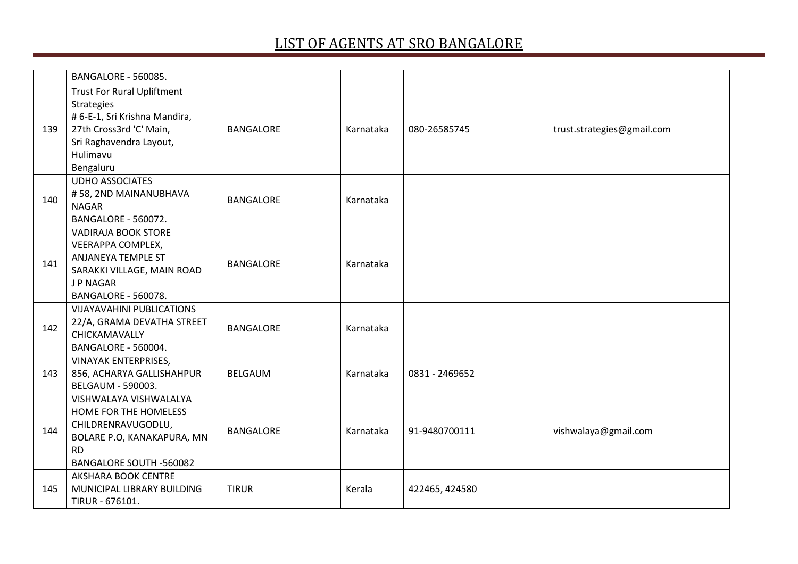|     | BANGALORE - 560085.                                                                                                                                                    |                  |           |                |                            |
|-----|------------------------------------------------------------------------------------------------------------------------------------------------------------------------|------------------|-----------|----------------|----------------------------|
| 139 | <b>Trust For Rural Upliftment</b><br><b>Strategies</b><br># 6-E-1, Sri Krishna Mandira,<br>27th Cross3rd 'C' Main,<br>Sri Raghavendra Layout,<br>Hulimavu<br>Bengaluru | <b>BANGALORE</b> | Karnataka | 080-26585745   | trust.strategies@gmail.com |
| 140 | <b>UDHO ASSOCIATES</b><br>#58, 2ND MAINANUBHAVA<br><b>NAGAR</b><br>BANGALORE - 560072.                                                                                 | <b>BANGALORE</b> | Karnataka |                |                            |
| 141 | <b>VADIRAJA BOOK STORE</b><br>VEERAPPA COMPLEX,<br>ANJANEYA TEMPLE ST<br>SARAKKI VILLAGE, MAIN ROAD<br>J P NAGAR<br>BANGALORE - 560078.                                | <b>BANGALORE</b> | Karnataka |                |                            |
| 142 | <b>VIJAYAVAHINI PUBLICATIONS</b><br>22/A, GRAMA DEVATHA STREET<br>CHICKAMAVALLY<br>BANGALORE - 560004.                                                                 | <b>BANGALORE</b> | Karnataka |                |                            |
| 143 | <b>VINAYAK ENTERPRISES,</b><br>856, ACHARYA GALLISHAHPUR<br>BELGAUM - 590003.                                                                                          | <b>BELGAUM</b>   | Karnataka | 0831 - 2469652 |                            |
| 144 | VISHWALAYA VISHWALALYA<br>HOME FOR THE HOMELESS<br>CHILDRENRAVUGODLU,<br>BOLARE P.O, KANAKAPURA, MN<br><b>RD</b><br><b>BANGALORE SOUTH -560082</b>                     | <b>BANGALORE</b> | Karnataka | 91-9480700111  | vishwalaya@gmail.com       |
| 145 | AKSHARA BOOK CENTRE<br>MUNICIPAL LIBRARY BUILDING<br>TIRUR - 676101.                                                                                                   | <b>TIRUR</b>     | Kerala    | 422465, 424580 |                            |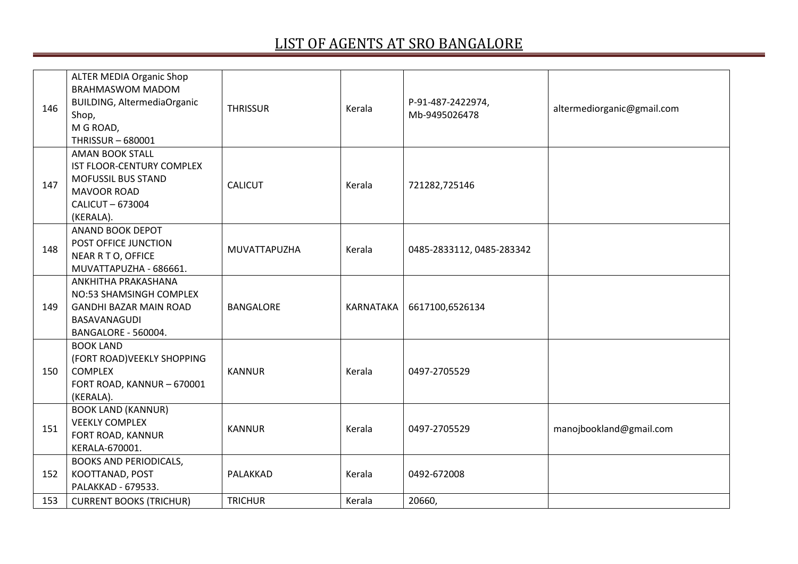| 146 | <b>ALTER MEDIA Organic Shop</b><br><b>BRAHMASWOM MADOM</b><br><b>BUILDING, AltermediaOrganic</b><br>Shop,<br>M G ROAD,<br><b>THRISSUR-680001</b> | <b>THRISSUR</b>  | Kerala    | P-91-487-2422974,<br>Mb-9495026478 | altermediorganic@gmail.com |
|-----|--------------------------------------------------------------------------------------------------------------------------------------------------|------------------|-----------|------------------------------------|----------------------------|
| 147 | <b>AMAN BOOK STALL</b><br>IST FLOOR-CENTURY COMPLEX<br><b>MOFUSSIL BUS STAND</b><br><b>MAVOOR ROAD</b><br>CALICUT-673004<br>(KERALA).            | <b>CALICUT</b>   | Kerala    | 721282,725146                      |                            |
| 148 | ANAND BOOK DEPOT<br>POST OFFICE JUNCTION<br>NEAR R T O, OFFICE<br>MUVATTAPUZHA - 686661.                                                         | MUVATTAPUZHA     | Kerala    | 0485-2833112, 0485-283342          |                            |
| 149 | ANKHITHA PRAKASHANA<br>NO:53 SHAMSINGH COMPLEX<br><b>GANDHI BAZAR MAIN ROAD</b><br>BASAVANAGUDI<br>BANGALORE - 560004.                           | <b>BANGALORE</b> | KARNATAKA | 6617100,6526134                    |                            |
| 150 | <b>BOOK LAND</b><br>(FORT ROAD) VEEKLY SHOPPING<br><b>COMPLEX</b><br>FORT ROAD, KANNUR - 670001<br>(KERALA).                                     | <b>KANNUR</b>    | Kerala    | 0497-2705529                       |                            |
| 151 | <b>BOOK LAND (KANNUR)</b><br><b>VEEKLY COMPLEX</b><br>FORT ROAD, KANNUR<br>KERALA-670001.                                                        | <b>KANNUR</b>    | Kerala    | 0497-2705529                       | manojbookland@gmail.com    |
| 152 | <b>BOOKS AND PERIODICALS,</b><br>KOOTTANAD, POST<br>PALAKKAD - 679533.                                                                           | PALAKKAD         | Kerala    | 0492-672008                        |                            |
| 153 | <b>CURRENT BOOKS (TRICHUR)</b>                                                                                                                   | <b>TRICHUR</b>   | Kerala    | 20660,                             |                            |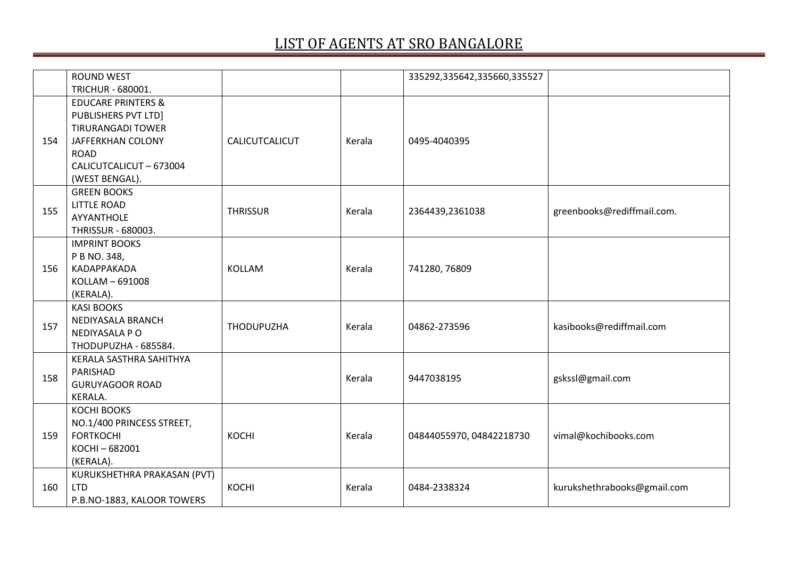|     | <b>ROUND WEST</b>                                                                                                                                                               |                   |        | 335292,335642,335660,335527 |                             |
|-----|---------------------------------------------------------------------------------------------------------------------------------------------------------------------------------|-------------------|--------|-----------------------------|-----------------------------|
|     | TRICHUR - 680001.                                                                                                                                                               |                   |        |                             |                             |
| 154 | <b>EDUCARE PRINTERS &amp;</b><br><b>PUBLISHERS PVT LTD]</b><br><b>TIRURANGADI TOWER</b><br><b>JAFFERKHAN COLONY</b><br><b>ROAD</b><br>CALICUTCALICUT - 673004<br>(WEST BENGAL). | CALICUTCALICUT    | Kerala | 0495-4040395                |                             |
| 155 | <b>GREEN BOOKS</b><br><b>LITTLE ROAD</b><br>AYYANTHOLE<br>THRISSUR - 680003.                                                                                                    | <b>THRISSUR</b>   | Kerala | 2364439,2361038             | greenbooks@rediffmail.com.  |
| 156 | <b>IMPRINT BOOKS</b><br>P B NO. 348,<br>KADAPPAKADA<br>KOLLAM - 691008<br>(KERALA).                                                                                             | <b>KOLLAM</b>     | Kerala | 741280, 76809               |                             |
| 157 | <b>KASI BOOKS</b><br>NEDIYASALA BRANCH<br>NEDIYASALA P O<br>THODUPUZHA - 685584.                                                                                                | <b>THODUPUZHA</b> | Kerala | 04862-273596                | kasibooks@rediffmail.com    |
| 158 | KERALA SASTHRA SAHITHYA<br>PARISHAD<br><b>GURUYAGOOR ROAD</b><br>KERALA.                                                                                                        |                   | Kerala | 9447038195                  | gskssl@gmail.com            |
| 159 | <b>KOCHI BOOKS</b><br>NO.1/400 PRINCESS STREET,<br><b>FORTKOCHI</b><br>KOCHI-682001<br>(KERALA).                                                                                | KOCHI             | Kerala | 04844055970, 04842218730    | vimal@kochibooks.com        |
| 160 | KURUKSHETHRA PRAKASAN (PVT)<br><b>LTD</b><br>P.B.NO-1883, KALOOR TOWERS                                                                                                         | KOCHI             | Kerala | 0484-2338324                | kurukshethrabooks@gmail.com |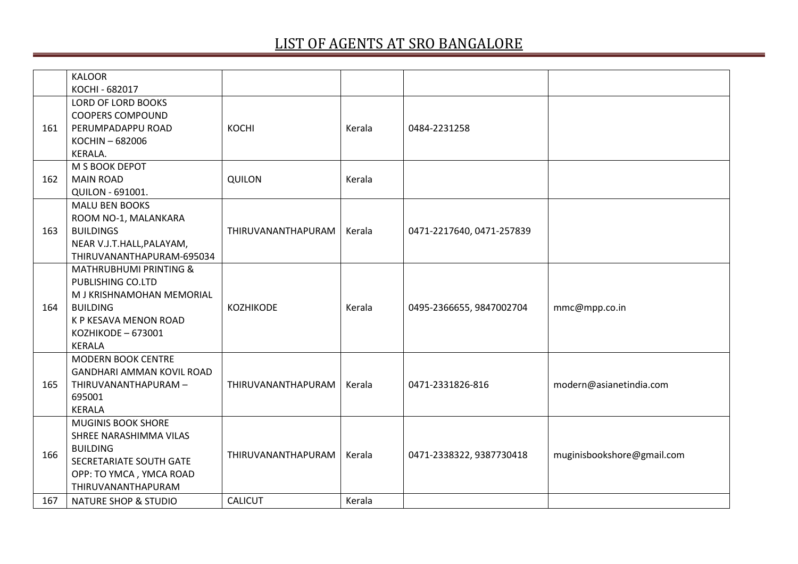|     | <b>KALOOR</b>                     |                    |        |                           |                            |
|-----|-----------------------------------|--------------------|--------|---------------------------|----------------------------|
|     | KOCHI - 682017                    |                    |        |                           |                            |
|     | LORD OF LORD BOOKS                |                    |        |                           |                            |
|     | <b>COOPERS COMPOUND</b>           |                    |        |                           |                            |
| 161 | PERUMPADAPPU ROAD                 | KOCHI              | Kerala | 0484-2231258              |                            |
|     | KOCHIN-682006                     |                    |        |                           |                            |
|     | KERALA.                           |                    |        |                           |                            |
|     | M S BOOK DEPOT                    |                    |        |                           |                            |
| 162 | <b>MAIN ROAD</b>                  | <b>QUILON</b>      | Kerala |                           |                            |
|     | QUILON - 691001.                  |                    |        |                           |                            |
|     | <b>MALU BEN BOOKS</b>             |                    |        |                           |                            |
|     | ROOM NO-1, MALANKARA              |                    |        |                           |                            |
| 163 | <b>BUILDINGS</b>                  | THIRUVANANTHAPURAM | Kerala | 0471-2217640, 0471-257839 |                            |
|     | NEAR V.J.T.HALL, PALAYAM,         |                    |        |                           |                            |
|     | THIRUVANANTHAPURAM-695034         |                    |        |                           |                            |
|     | <b>MATHRUBHUMI PRINTING &amp;</b> |                    |        |                           |                            |
|     | PUBLISHING CO.LTD                 |                    |        |                           |                            |
|     | M J KRISHNAMOHAN MEMORIAL         |                    |        |                           |                            |
| 164 | <b>BUILDING</b>                   | <b>KOZHIKODE</b>   | Kerala | 0495-2366655, 9847002704  | mmc@mpp.co.in              |
|     | K P KESAVA MENON ROAD             |                    |        |                           |                            |
|     | KOZHIKODE - 673001                |                    |        |                           |                            |
|     | <b>KERALA</b>                     |                    |        |                           |                            |
|     | <b>MODERN BOOK CENTRE</b>         |                    |        |                           |                            |
|     | <b>GANDHARI AMMAN KOVIL ROAD</b>  |                    |        |                           |                            |
| 165 | THIRUVANANTHAPURAM -              | THIRUVANANTHAPURAM | Kerala | 0471-2331826-816          | modern@asianetindia.com    |
|     | 695001                            |                    |        |                           |                            |
|     | <b>KERALA</b>                     |                    |        |                           |                            |
|     | <b>MUGINIS BOOK SHORE</b>         |                    |        |                           |                            |
|     | SHREE NARASHIMMA VILAS            |                    |        |                           |                            |
|     | <b>BUILDING</b>                   |                    |        |                           |                            |
| 166 | SECRETARIATE SOUTH GATE           | THIRUVANANTHAPURAM | Kerala | 0471-2338322, 9387730418  | muginisbookshore@gmail.com |
|     | OPP: TO YMCA, YMCA ROAD           |                    |        |                           |                            |
|     | THIRUVANANTHAPURAM                |                    |        |                           |                            |
| 167 | <b>NATURE SHOP &amp; STUDIO</b>   | <b>CALICUT</b>     | Kerala |                           |                            |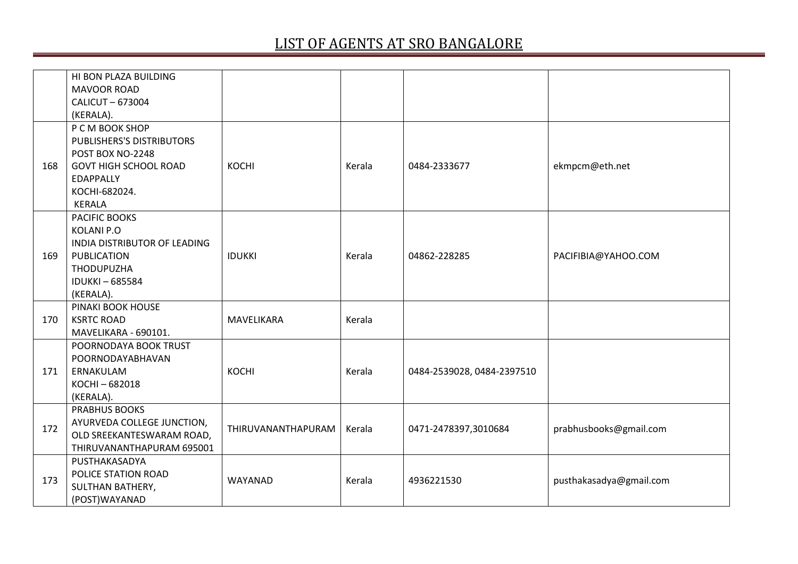|     | HI BON PLAZA BUILDING        |                    |        |                            |                         |
|-----|------------------------------|--------------------|--------|----------------------------|-------------------------|
|     | <b>MAVOOR ROAD</b>           |                    |        |                            |                         |
|     | CALICUT-673004               |                    |        |                            |                         |
|     | (KERALA).                    |                    |        |                            |                         |
|     | P C M BOOK SHOP              |                    |        |                            |                         |
|     | PUBLISHERS'S DISTRIBUTORS    |                    |        |                            |                         |
|     | POST BOX NO-2248             |                    |        |                            |                         |
| 168 | <b>GOVT HIGH SCHOOL ROAD</b> | <b>KOCHI</b>       | Kerala | 0484-2333677               | ekmpcm@eth.net          |
|     | <b>EDAPPALLY</b>             |                    |        |                            |                         |
|     | KOCHI-682024.                |                    |        |                            |                         |
|     | <b>KERALA</b>                |                    |        |                            |                         |
|     | PACIFIC BOOKS                |                    |        |                            |                         |
|     | <b>KOLANI P.O</b>            |                    |        |                            |                         |
|     | INDIA DISTRIBUTOR OF LEADING |                    |        |                            |                         |
| 169 | <b>PUBLICATION</b>           | <b>IDUKKI</b>      | Kerala | 04862-228285               | PACIFIBIA@YAHOO.COM     |
|     | <b>THODUPUZHA</b>            |                    |        |                            |                         |
|     | <b>IDUKKI-685584</b>         |                    |        |                            |                         |
|     | (KERALA).                    |                    |        |                            |                         |
|     | PINAKI BOOK HOUSE            |                    |        |                            |                         |
| 170 | <b>KSRTC ROAD</b>            | MAVELIKARA         | Kerala |                            |                         |
|     | MAVELIKARA - 690101.         |                    |        |                            |                         |
|     | POORNODAYA BOOK TRUST        |                    |        |                            |                         |
|     | POORNODAYABHAVAN             |                    |        |                            |                         |
| 171 | ERNAKULAM                    | KOCHI              | Kerala | 0484-2539028, 0484-2397510 |                         |
|     | KOCHI-682018                 |                    |        |                            |                         |
|     | (KERALA).                    |                    |        |                            |                         |
|     | <b>PRABHUS BOOKS</b>         |                    |        |                            |                         |
| 172 | AYURVEDA COLLEGE JUNCTION,   | THIRUVANANTHAPURAM | Kerala | 0471-2478397,3010684       | prabhusbooks@gmail.com  |
|     | OLD SREEKANTESWARAM ROAD,    |                    |        |                            |                         |
|     | THIRUVANANTHAPURAM 695001    |                    |        |                            |                         |
|     | PUSTHAKASADYA                |                    |        |                            |                         |
| 173 | POLICE STATION ROAD          | WAYANAD            | Kerala | 4936221530                 | pusthakasadya@gmail.com |
|     | SULTHAN BATHERY,             |                    |        |                            |                         |
|     | (POST)WAYANAD                |                    |        |                            |                         |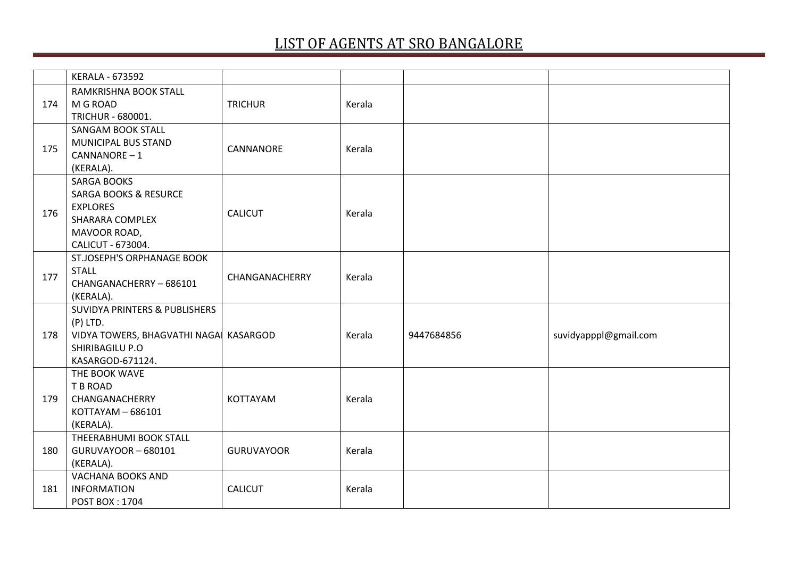|                          | <b>KERALA - 673592</b>                 |                   |        |            |                       |
|--------------------------|----------------------------------------|-------------------|--------|------------|-----------------------|
|                          | RAMKRISHNA BOOK STALL                  |                   |        |            |                       |
| 174                      | M G ROAD                               | <b>TRICHUR</b>    | Kerala |            |                       |
|                          | TRICHUR - 680001.                      |                   |        |            |                       |
|                          | <b>SANGAM BOOK STALL</b>               |                   |        |            |                       |
| 175                      | MUNICIPAL BUS STAND                    | CANNANORE         | Kerala |            |                       |
|                          | CANNANORE-1                            |                   |        |            |                       |
|                          | (KERALA).                              |                   |        |            |                       |
|                          | <b>SARGA BOOKS</b>                     |                   |        |            |                       |
|                          | <b>SARGA BOOKS &amp; RESURCE</b>       |                   |        |            |                       |
|                          | <b>EXPLORES</b>                        | <b>CALICUT</b>    | Kerala |            |                       |
|                          | SHARARA COMPLEX                        |                   |        |            |                       |
|                          | MAVOOR ROAD,                           |                   |        |            |                       |
|                          | CALICUT - 673004.                      |                   |        |            |                       |
|                          | ST.JOSEPH'S ORPHANAGE BOOK             |                   |        |            |                       |
|                          | <b>STALL</b>                           | CHANGANACHERRY    | Kerala |            |                       |
|                          | CHANGANACHERRY-686101                  |                   |        |            |                       |
|                          | (KERALA).                              |                   |        |            |                       |
|                          | SUVIDYA PRINTERS & PUBLISHERS          |                   |        |            |                       |
|                          | $(P)$ LTD.                             |                   |        |            |                       |
| 176<br>177<br>178<br>179 | VIDYA TOWERS, BHAGVATHI NAGA  KASARGOD |                   | Kerala | 9447684856 | suvidyapppl@gmail.com |
|                          | SHIRIBAGILU P.O                        |                   |        |            |                       |
|                          | KASARGOD-671124.                       |                   |        |            |                       |
|                          | THE BOOK WAVE                          |                   |        |            |                       |
|                          | T B ROAD                               |                   |        |            |                       |
|                          | CHANGANACHERRY                         | KOTTAYAM          | Kerala |            |                       |
|                          | KOTTAYAM - 686101                      |                   |        |            |                       |
|                          | (KERALA).                              |                   |        |            |                       |
|                          | THEERABHUMI BOOK STALL                 |                   |        |            |                       |
| 180                      | GURUVAYOOR - 680101                    | <b>GURUVAYOOR</b> | Kerala |            |                       |
|                          | (KERALA).                              |                   |        |            |                       |
|                          | <b>VACHANA BOOKS AND</b>               |                   |        |            |                       |
| 181                      | <b>INFORMATION</b>                     | <b>CALICUT</b>    | Kerala |            |                       |
|                          | <b>POST BOX: 1704</b>                  |                   |        |            |                       |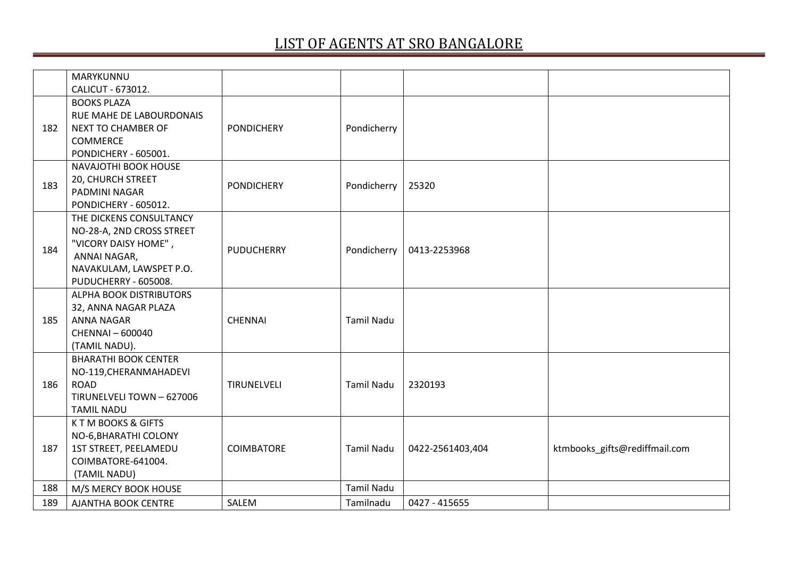|     | MARYKUNNU                    |                   |                   |                  |                               |
|-----|------------------------------|-------------------|-------------------|------------------|-------------------------------|
|     | CALICUT - 673012.            |                   |                   |                  |                               |
|     | <b>BOOKS PLAZA</b>           |                   |                   |                  |                               |
|     | RUE MAHE DE LABOURDONAIS     |                   |                   |                  |                               |
| 182 | <b>NEXT TO CHAMBER OF</b>    | <b>PONDICHERY</b> | Pondicherry       |                  |                               |
|     | <b>COMMERCE</b>              |                   |                   |                  |                               |
|     | PONDICHERY - 605001.         |                   |                   |                  |                               |
|     | NAVAJOTHI BOOK HOUSE         |                   |                   |                  |                               |
| 183 | 20, CHURCH STREET            | <b>PONDICHERY</b> | Pondicherry       | 25320            |                               |
|     | PADMINI NAGAR                |                   |                   |                  |                               |
|     | PONDICHERY - 605012.         |                   |                   |                  |                               |
|     | THE DICKENS CONSULTANCY      |                   |                   |                  |                               |
|     | NO-28-A, 2ND CROSS STREET    |                   |                   |                  |                               |
| 184 | "VICORY DAISY HOME",         | <b>PUDUCHERRY</b> | Pondicherry       | 0413-2253968     |                               |
|     | ANNAI NAGAR,                 |                   |                   |                  |                               |
|     | NAVAKULAM, LAWSPET P.O.      |                   |                   |                  |                               |
|     | PUDUCHERRY - 605008.         |                   |                   |                  |                               |
|     | ALPHA BOOK DISTRIBUTORS      |                   |                   |                  |                               |
|     | 32, ANNA NAGAR PLAZA         |                   |                   |                  |                               |
| 185 | <b>ANNA NAGAR</b>            | <b>CHENNAI</b>    | <b>Tamil Nadu</b> |                  |                               |
|     | <b>CHENNAI-600040</b>        |                   |                   |                  |                               |
|     | (TAMIL NADU).                |                   |                   |                  |                               |
|     | <b>BHARATHI BOOK CENTER</b>  |                   |                   |                  |                               |
|     | NO-119, CHERANMAHADEVI       |                   |                   |                  |                               |
| 186 | <b>ROAD</b>                  | TIRUNELVELI       | <b>Tamil Nadu</b> | 2320193          |                               |
|     | TIRUNELVELI TOWN - 627006    |                   |                   |                  |                               |
|     | <b>TAMIL NADU</b>            |                   |                   |                  |                               |
|     | <b>KTM BOOKS &amp; GIFTS</b> |                   |                   |                  |                               |
|     | NO-6, BHARATHI COLONY        |                   |                   |                  |                               |
| 187 | 1ST STREET, PEELAMEDU        | COIMBATORE        | <b>Tamil Nadu</b> | 0422-2561403,404 | ktmbooks_gifts@rediffmail.com |
|     | COIMBATORE-641004.           |                   |                   |                  |                               |
|     | (TAMIL NADU)                 |                   |                   |                  |                               |
| 188 | M/S MERCY BOOK HOUSE         |                   | <b>Tamil Nadu</b> |                  |                               |
| 189 | AJANTHA BOOK CENTRE          | SALEM             | Tamilnadu         | 0427 - 415655    |                               |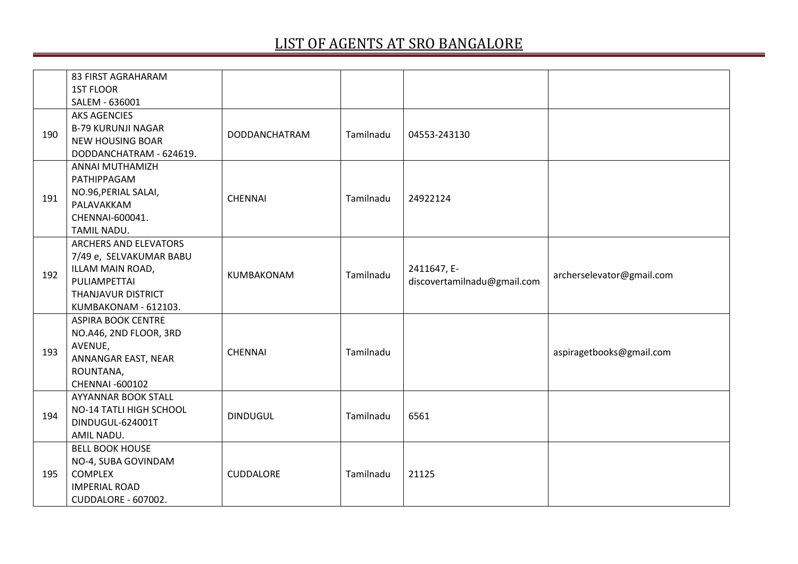|     | 83 FIRST AGRAHARAM                                                                                                                 |                  |           |                                            |                           |
|-----|------------------------------------------------------------------------------------------------------------------------------------|------------------|-----------|--------------------------------------------|---------------------------|
|     | <b>1ST FLOOR</b>                                                                                                                   |                  |           |                                            |                           |
|     | SALEM - 636001                                                                                                                     |                  |           |                                            |                           |
| 190 | <b>AKS AGENCIES</b><br><b>B-79 KURUNJI NAGAR</b><br><b>NEW HOUSING BOAR</b><br>DODDANCHATRAM - 624619.                             | DODDANCHATRAM    | Tamilnadu | 04553-243130                               |                           |
| 191 | <b>ANNAI MUTHAMIZH</b><br>PATHIPPAGAM<br>NO.96, PERIAL SALAI,<br>PALAVAKKAM<br>CHENNAI-600041.<br>TAMIL NADU.                      | <b>CHENNAI</b>   | Tamilnadu | 24922124                                   |                           |
| 192 | ARCHERS AND ELEVATORS<br>7/49 e, SELVAKUMAR BABU<br>ILLAM MAIN ROAD,<br>PULIAMPETTAI<br>THANJAVUR DISTRICT<br>KUMBAKONAM - 612103. | KUMBAKONAM       | Tamilnadu | 2411647, E-<br>discovertamilnadu@gmail.com | archerselevator@gmail.com |
| 193 | <b>ASPIRA BOOK CENTRE</b><br>NO.A46, 2ND FLOOR, 3RD<br>AVENUE,<br>ANNANGAR EAST, NEAR<br>ROUNTANA,<br><b>CHENNAI-600102</b>        | <b>CHENNAI</b>   | Tamilnadu |                                            | aspiragetbooks@gmail.com  |
| 194 | AYYANNAR BOOK STALL<br>NO-14 TATLI HIGH SCHOOL<br>DINDUGUL-624001T<br>AMIL NADU.                                                   | <b>DINDUGUL</b>  | Tamilnadu | 6561                                       |                           |
| 195 | <b>BELL BOOK HOUSE</b><br>NO-4, SUBA GOVINDAM<br><b>COMPLEX</b><br><b>IMPERIAL ROAD</b><br><b>CUDDALORE - 607002.</b>              | <b>CUDDALORE</b> | Tamilnadu | 21125                                      |                           |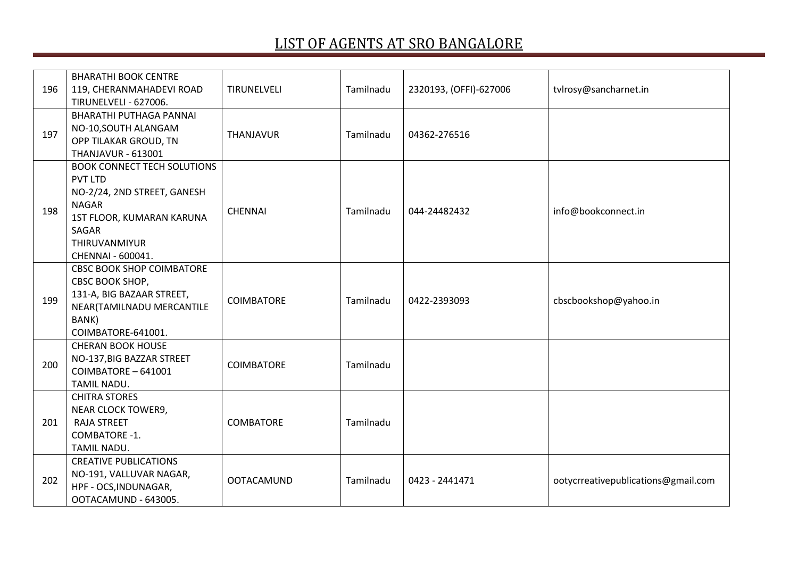| 196 | <b>BHARATHI BOOK CENTRE</b><br>119, CHERANMAHADEVI ROAD<br><b>TIRUNELVELI - 627006.</b>                                                                                         | TIRUNELVELI       | Tamilnadu | 2320193, (OFFI)-627006 | tvlrosy@sancharnet.in               |
|-----|---------------------------------------------------------------------------------------------------------------------------------------------------------------------------------|-------------------|-----------|------------------------|-------------------------------------|
| 197 | <b>BHARATHI PUTHAGA PANNAI</b><br>NO-10, SOUTH ALANGAM<br>OPP TILAKAR GROUD, TN<br><b>THANJAVUR - 613001</b>                                                                    | <b>THANJAVUR</b>  | Tamilnadu | 04362-276516           |                                     |
| 198 | <b>BOOK CONNECT TECH SOLUTIONS</b><br><b>PVT LTD</b><br>NO-2/24, 2ND STREET, GANESH<br><b>NAGAR</b><br>1ST FLOOR, KUMARAN KARUNA<br>SAGAR<br>THIRUVANMIYUR<br>CHENNAI - 600041. | <b>CHENNAI</b>    | Tamilnadu | 044-24482432           | info@bookconnect.in                 |
| 199 | <b>CBSC BOOK SHOP COIMBATORE</b><br>CBSC BOOK SHOP,<br>131-A, BIG BAZAAR STREET,<br>NEAR(TAMILNADU MERCANTILE<br>BANK)<br>COIMBATORE-641001.                                    | <b>COIMBATORE</b> | Tamilnadu | 0422-2393093           | cbscbookshop@yahoo.in               |
| 200 | <b>CHERAN BOOK HOUSE</b><br>NO-137, BIG BAZZAR STREET<br>COIMBATORE - 641001<br>TAMIL NADU.                                                                                     | <b>COIMBATORE</b> | Tamilnadu |                        |                                     |
| 201 | <b>CHITRA STORES</b><br>NEAR CLOCK TOWER9,<br><b>RAJA STREET</b><br>COMBATORE -1.<br>TAMIL NADU.                                                                                | <b>COMBATORE</b>  | Tamilnadu |                        |                                     |
| 202 | <b>CREATIVE PUBLICATIONS</b><br>NO-191, VALLUVAR NAGAR,<br>HPF - OCS, INDUNAGAR,<br>OOTACAMUND - 643005.                                                                        | <b>OOTACAMUND</b> | Tamilnadu | 0423 - 2441471         | ootycrreativepublications@gmail.com |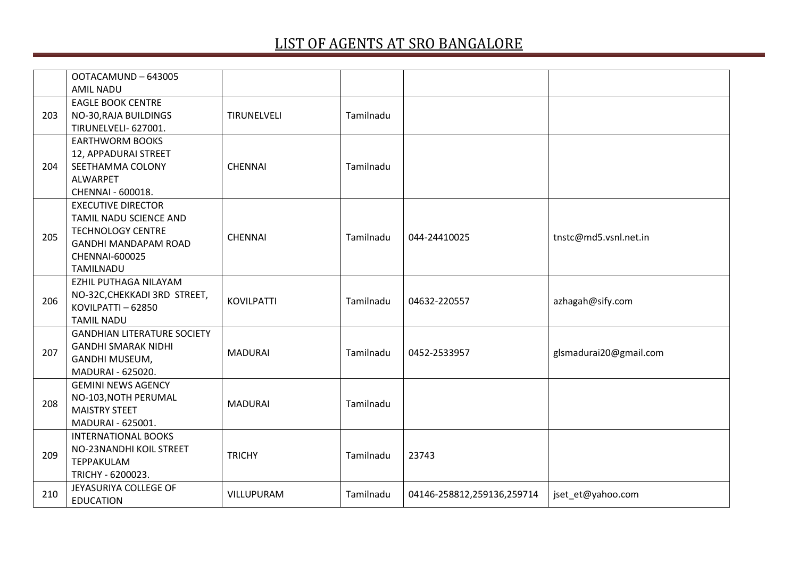|     | OOTACAMUND-643005<br><b>AMIL NADU</b> |                   |           |                            |                        |
|-----|---------------------------------------|-------------------|-----------|----------------------------|------------------------|
|     | <b>EAGLE BOOK CENTRE</b>              |                   |           |                            |                        |
| 203 | NO-30, RAJA BUILDINGS                 | TIRUNELVELI       | Tamilnadu |                            |                        |
|     | TIRUNELVELI- 627001.                  |                   |           |                            |                        |
|     | <b>EARTHWORM BOOKS</b>                |                   |           |                            |                        |
|     | 12, APPADURAI STREET                  |                   |           |                            |                        |
| 204 | SEETHAMMA COLONY                      | <b>CHENNAI</b>    | Tamilnadu |                            |                        |
|     | <b>ALWARPET</b>                       |                   |           |                            |                        |
|     | CHENNAI - 600018.                     |                   |           |                            |                        |
|     | <b>EXECUTIVE DIRECTOR</b>             |                   |           |                            |                        |
|     | TAMIL NADU SCIENCE AND                |                   |           |                            |                        |
|     | <b>TECHNOLOGY CENTRE</b>              |                   |           |                            |                        |
| 205 | <b>GANDHI MANDAPAM ROAD</b>           | <b>CHENNAI</b>    | Tamilnadu | 044-24410025               | tnstc@md5.vsnl.net.in  |
|     | <b>CHENNAI-600025</b>                 |                   |           |                            |                        |
|     | <b>TAMILNADU</b>                      |                   |           |                            |                        |
|     | EZHIL PUTHAGA NILAYAM                 |                   |           |                            |                        |
|     | NO-32C, CHEKKADI 3RD STREET,          | <b>KOVILPATTI</b> | Tamilnadu | 04632-220557               |                        |
| 206 | KOVILPATTI - 62850                    |                   |           |                            | azhagah@sify.com       |
|     | <b>TAMIL NADU</b>                     |                   |           |                            |                        |
|     | <b>GANDHIAN LITERATURE SOCIETY</b>    |                   |           |                            |                        |
| 207 | <b>GANDHI SMARAK NIDHI</b>            | <b>MADURAI</b>    | Tamilnadu |                            |                        |
|     | GANDHI MUSEUM,                        |                   |           | 0452-2533957               | glsmadurai20@gmail.com |
|     | MADURAI - 625020.                     |                   |           |                            |                        |
|     | <b>GEMINI NEWS AGENCY</b>             |                   |           |                            |                        |
| 208 | NO-103, NOTH PERUMAL                  | <b>MADURAI</b>    | Tamilnadu |                            |                        |
|     | <b>MAISTRY STEET</b>                  |                   |           |                            |                        |
|     | MADURAI - 625001.                     |                   |           |                            |                        |
|     | <b>INTERNATIONAL BOOKS</b>            |                   |           |                            |                        |
| 209 | NO-23NANDHI KOIL STREET               | <b>TRICHY</b>     | Tamilnadu | 23743                      |                        |
|     | <b>TEPPAKULAM</b>                     |                   |           |                            |                        |
|     | TRICHY - 6200023.                     |                   |           |                            |                        |
| 210 | JEYASURIYA COLLEGE OF                 | VILLUPURAM        | Tamilnadu | 04146-258812,259136,259714 | jset_et@yahoo.com      |
|     | <b>EDUCATION</b>                      |                   |           |                            |                        |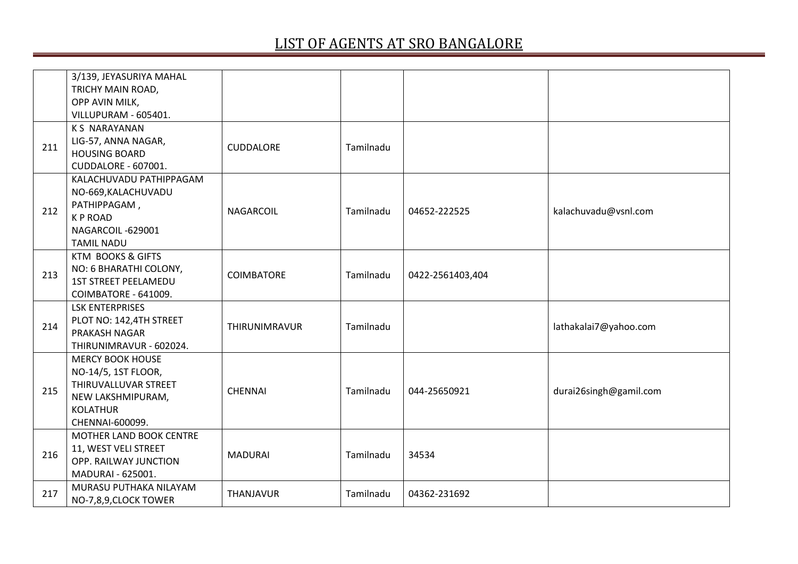|     | 3/139, JEYASURIYA MAHAL<br>TRICHY MAIN ROAD,<br>OPP AVIN MILK,<br>VILLUPURAM - 605401.                                            |                   |           |                  |                        |
|-----|-----------------------------------------------------------------------------------------------------------------------------------|-------------------|-----------|------------------|------------------------|
| 211 | <b>KS NARAYANAN</b><br>LIG-57, ANNA NAGAR,<br><b>HOUSING BOARD</b><br><b>CUDDALORE - 607001.</b>                                  | <b>CUDDALORE</b>  | Tamilnadu |                  |                        |
| 212 | KALACHUVADU PATHIPPAGAM<br>NO-669, KALACHUVADU<br>PATHIPPAGAM,<br><b>KPROAD</b><br>NAGARCOIL-629001<br><b>TAMIL NADU</b>          | NAGARCOIL         | Tamilnadu | 04652-222525     | kalachuvadu@vsnl.com   |
| 213 | <b>KTM BOOKS &amp; GIFTS</b><br>NO: 6 BHARATHI COLONY,<br><b>1ST STREET PEELAMEDU</b><br>COIMBATORE - 641009.                     | <b>COIMBATORE</b> | Tamilnadu | 0422-2561403,404 |                        |
| 214 | <b>LSK ENTERPRISES</b><br>PLOT NO: 142,4TH STREET<br>PRAKASH NAGAR<br>THIRUNIMRAVUR - 602024.                                     | THIRUNIMRAVUR     | Tamilnadu |                  | lathakalai7@yahoo.com  |
| 215 | <b>MERCY BOOK HOUSE</b><br>NO-14/5, 1ST FLOOR,<br>THIRUVALLUVAR STREET<br>NEW LAKSHMIPURAM,<br><b>KOLATHUR</b><br>CHENNAI-600099. | <b>CHENNAI</b>    | Tamilnadu | 044-25650921     | durai26singh@gamil.com |
| 216 | MOTHER LAND BOOK CENTRE<br>11, WEST VELI STREET<br>OPP. RAILWAY JUNCTION<br>MADURAI - 625001.                                     | <b>MADURAI</b>    | Tamilnadu | 34534            |                        |
| 217 | MURASU PUTHAKA NILAYAM<br>NO-7,8,9, CLOCK TOWER                                                                                   | <b>THANJAVUR</b>  | Tamilnadu | 04362-231692     |                        |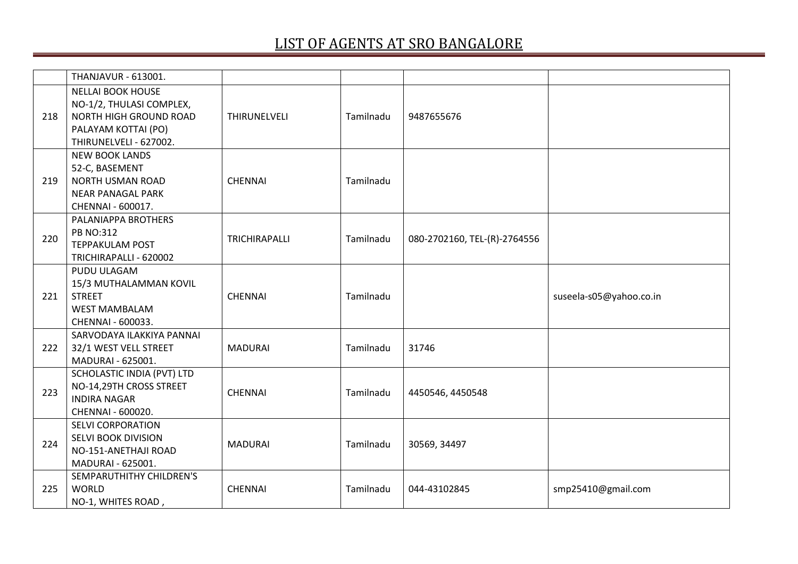|     | THANJAVUR - 613001.                                                                                                                    |                |           |                              |                         |
|-----|----------------------------------------------------------------------------------------------------------------------------------------|----------------|-----------|------------------------------|-------------------------|
| 218 | <b>NELLAI BOOK HOUSE</b><br>NO-1/2, THULASI COMPLEX,<br><b>NORTH HIGH GROUND ROAD</b><br>PALAYAM KOTTAI (PO)<br>THIRUNELVELI - 627002. | THIRUNELVELI   | Tamilnadu | 9487655676                   |                         |
| 219 | <b>NEW BOOK LANDS</b><br>52-C, BASEMENT<br><b>NORTH USMAN ROAD</b><br><b>NEAR PANAGAL PARK</b><br>CHENNAI - 600017.                    | <b>CHENNAI</b> | Tamilnadu |                              |                         |
| 220 | PALANIAPPA BROTHERS<br><b>PB NO:312</b><br><b>TEPPAKULAM POST</b><br>TRICHIRAPALLI - 620002                                            | TRICHIRAPALLI  | Tamilnadu | 080-2702160, TEL-(R)-2764556 |                         |
| 221 | PUDU ULAGAM<br>15/3 MUTHALAMMAN KOVIL<br><b>STREET</b><br><b>WEST MAMBALAM</b><br>CHENNAI - 600033.                                    | <b>CHENNAI</b> | Tamilnadu |                              | suseela-s05@yahoo.co.in |
| 222 | SARVODAYA ILAKKIYA PANNAI<br>32/1 WEST VELL STREET<br>MADURAI - 625001.                                                                | <b>MADURAI</b> | Tamilnadu | 31746                        |                         |
| 223 | SCHOLASTIC INDIA (PVT) LTD<br>NO-14,29TH CROSS STREET<br><b>INDIRA NAGAR</b><br>CHENNAI - 600020.                                      | <b>CHENNAI</b> | Tamilnadu | 4450546, 4450548             |                         |
| 224 | <b>SELVI CORPORATION</b><br>SELVI BOOK DIVISION<br>NO-151-ANETHAJI ROAD<br>MADURAI - 625001.                                           | <b>MADURAI</b> | Tamilnadu | 30569, 34497                 |                         |
| 225 | SEMPARUTHITHY CHILDREN'S<br><b>WORLD</b><br>NO-1, WHITES ROAD,                                                                         | <b>CHENNAI</b> | Tamilnadu | 044-43102845                 | smp25410@gmail.com      |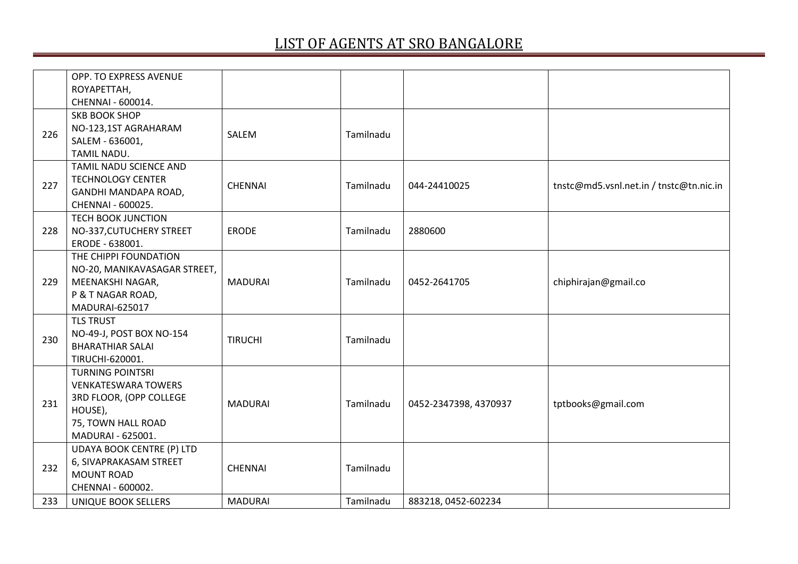| OPP. TO EXPRESS AVENUE           |                                                                                                                       |           |                       |                                         |
|----------------------------------|-----------------------------------------------------------------------------------------------------------------------|-----------|-----------------------|-----------------------------------------|
| ROYAPETTAH,                      |                                                                                                                       |           |                       |                                         |
| CHENNAI - 600014.                |                                                                                                                       |           |                       |                                         |
| <b>SKB BOOK SHOP</b>             | SALEM                                                                                                                 | Tamilnadu |                       |                                         |
| NO-123,1ST AGRAHARAM             |                                                                                                                       |           |                       |                                         |
| SALEM - 636001,                  |                                                                                                                       |           |                       |                                         |
| TAMIL NADU.                      |                                                                                                                       |           |                       |                                         |
| TAMIL NADU SCIENCE AND           |                                                                                                                       |           |                       |                                         |
|                                  | <b>CHENNAI</b>                                                                                                        | Tamilnadu | 044-24410025          | tnstc@md5.vsnl.net.in / tnstc@tn.nic.in |
|                                  |                                                                                                                       |           |                       |                                         |
| CHENNAI - 600025.                |                                                                                                                       |           |                       |                                         |
| <b>TECH BOOK JUNCTION</b>        |                                                                                                                       |           |                       |                                         |
|                                  | <b>ERODE</b>                                                                                                          | Tamilnadu | 2880600               |                                         |
| ERODE - 638001.                  |                                                                                                                       |           |                       |                                         |
| THE CHIPPI FOUNDATION            |                                                                                                                       |           |                       |                                         |
| NO-20, MANIKAVASAGAR STREET,     |                                                                                                                       |           |                       |                                         |
|                                  | <b>MADURAI</b>                                                                                                        | Tamilnadu | 0452-2641705          | chiphirajan@gmail.co                    |
|                                  |                                                                                                                       |           |                       |                                         |
| MADURAI-625017                   |                                                                                                                       |           |                       |                                         |
| <b>TLS TRUST</b>                 |                                                                                                                       |           |                       |                                         |
| NO-49-J, POST BOX NO-154         | <b>TIRUCHI</b>                                                                                                        | Tamilnadu |                       |                                         |
| <b>BHARATHIAR SALAI</b>          |                                                                                                                       |           |                       |                                         |
| TIRUCHI-620001.                  |                                                                                                                       |           |                       |                                         |
| <b>TURNING POINTSRI</b>          |                                                                                                                       |           |                       |                                         |
| <b>VENKATESWARA TOWERS</b>       |                                                                                                                       |           |                       |                                         |
| 3RD FLOOR, (OPP COLLEGE          | <b>MADURAI</b>                                                                                                        | Tamilnadu | 0452-2347398, 4370937 |                                         |
| HOUSE),                          |                                                                                                                       |           |                       | tptbooks@gmail.com                      |
| 75, TOWN HALL ROAD               |                                                                                                                       |           |                       |                                         |
| MADURAI - 625001.                |                                                                                                                       |           |                       |                                         |
| <b>UDAYA BOOK CENTRE (P) LTD</b> |                                                                                                                       |           |                       |                                         |
| 6, SIVAPRAKASAM STREET           | <b>CHENNAI</b>                                                                                                        | Tamilnadu |                       |                                         |
| <b>MOUNT ROAD</b>                |                                                                                                                       |           |                       |                                         |
| CHENNAI - 600002.                |                                                                                                                       |           |                       |                                         |
| UNIQUE BOOK SELLERS              | <b>MADURAI</b>                                                                                                        | Tamilnadu | 883218, 0452-602234   |                                         |
|                                  | <b>TECHNOLOGY CENTER</b><br>GANDHI MANDAPA ROAD,<br>NO-337, CUTUCHERY STREET<br>MEENAKSHI NAGAR,<br>P & T NAGAR ROAD, |           |                       |                                         |